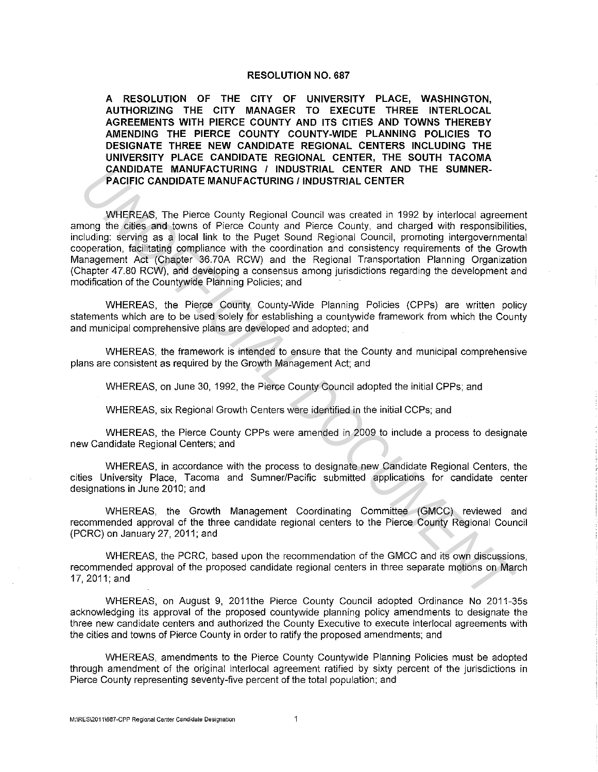### **RESOLUTION NO. 687**

**A RESOLUTION OF THE CITY OF UNIVERSITY PLACE, WASHINGTON, AUTHORIZING THE CITY MANAGER TO EXECUTE THREE INTERLOCAL AGREEMENTS WITH PIERCE COUNTY AND ITS CITIES AND TOWNS THEREBY AMENDING THE PIERCE COUNTY COUNTY-WIDE PLANNING POLICIES TO DESIGNATE THREE NEW CANDIDATE REGIONAL CENTERS INCLUDING THE UNIVERSITY PLACE CANDIDATE REGIONAL CENTER, THE SOUTH TACOMA CANDIDATE MANUFACTURING I INDUSTRIAL CENTER AND THE SUMNER-PACIFIC CANDIDATE MANUFACTURING/ INDUSTRIAL CENTER** 

WHEREAS, The Pierce County Regional Council was created in 1992 by interlocal agreement among the cities and towns of Pierce County and Pierce County, and charged with responsibilities, including: serving as a local link to the Puget Sound Regional Council, promoting intergovernmental cooperation, facilitating compliance with the coordination and consistency requirements of the Growth Management Act (Chapter 36.70A RCW) and the Regional Transportation Planning Organization (Chapter 47.80 RCW), and developing a consensus among jurisdictions regarding the development and modification of the Countywide Planning Policies; and **CANDIDATE MANUFACTURING / INDUSTRIAL CENTER AND THE SUMNER-<br>
PACIFIC CANDIDATE MANUFACTURING / INDUSTRIAL CENTER<br>
WHEREAS, The Pierce County Regional Council was created in 1992 by interlocal agreem<br>
Interaction, the inte** 

WHEREAS, the Pierce County County-Wide Planning Policies (CPPs) are written policy statements which are to be used solely for establishing a countywide framework from which the County and municipal comprehensive plans are developed and adopted; and

WHEREAS, the framework is intended to ensure that the County and municipal comprehensive plans are consistent as required by the Growth Management Act; and

WHEREAS, on June 30, 1992, the Pierce County Council adopted the initial CPPs; and

WHEREAS, six Regional Growth Centers were identified in the initial CCPs; and

WHEREAS, the Pierce County CPPs were amended in 2009 to include a process to designate new Candidate Regional Centers; and

WHEREAS, **in** accordance with the process to designate new Candidate Regional Centers, the cities University Place, Tacoma and Sumner/Pacific submitted applications for candidate center designations in June 2010; and

WHEREAS, the Growth Management Coordinating Committee (GMCC) reviewed and recommended approval of the three candidate regional centers to the Pierce County Regional Council (PCRC) on January 27, 2011; and

WHEREAS, the PCRC, based upon the recommendation of the GMCC and its own discussions recommended approval of the proposed candidate regional centers in three separate motions on March 17,2011;and

WHEREAS, on August 9, 2011the Pierce County Council adopted Ordinance No 2011-35s acknowledging its approval of the proposed countywide planning policy amendments to designate the three new candidate centers and authorized the County Executive to execute interlocal agreements with the cities and towns of Pierce County in order to ratify the proposed amendments; and

WHEREAS, amendments to the Pierce County Countywide Planning Policies must be adopted through amendment of the original interlocal agreement ratified by sixty percent of the jurisdictions in Pierce County representing seventy-five percent of the total population; and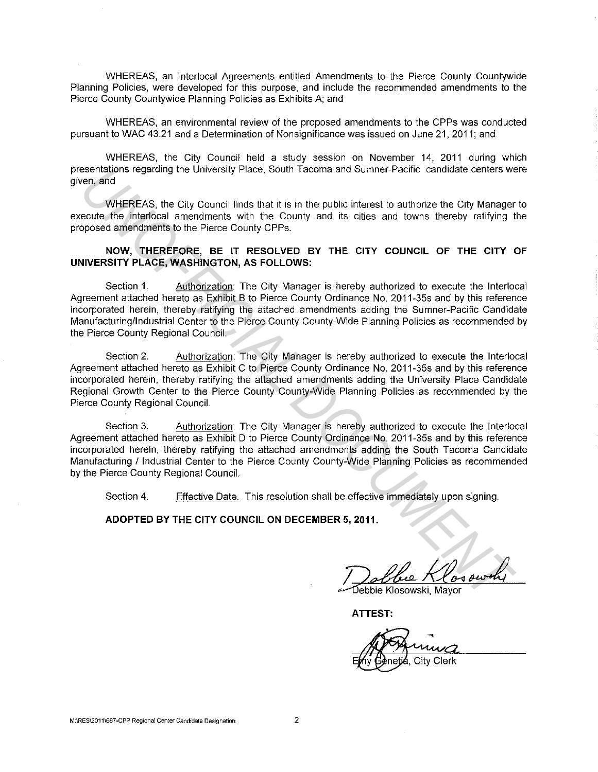WHEREAS, an lnterlocal Agreements entitled Amendments to the Pierce County Countywide Planning Policies, were developed for this purpose, and include the recommended amendments to the Pierce County Countywide Planning Policies as Exhibits A; and

WHEREAS, an environmental review of the proposed amendments to the CPPs was conducted pursuant to WAC 43.21 and a Determination of Nonsignificance was issued on June 21, 2011; and

WHEREAS, the City Council held a study session on November 14, 2011 during which presentations regarding the University Place, South Tacoma and Sumner-Pacific candidate centers were given; and

WHEREAS, the City Council finds that it is in the public interest to authorize the City Manager to execute the interlocal amendments with the County and its cities and towns thereby ratifying the proposed amendments to the Pierce County CPPs.

# **NOW, THEREFORE, BE IT RESOLVED BY THE CITY COUNCIL OF THE CITY OF UNIVERSITY PLACE, WASHINGTON, AS FOLLOWS:**

Section 1. Authorization: The City Manager is hereby authorized to execute the lnterlocal Agreement attached hereto as Exhibit B to Pierce County Ordinance No. 2011-35s and by this reference incorporated herein, thereby ratifying the attached amendments adding the Sumner-Pacific Candidate Manufacturing/Industrial Center to the Pierce County County-Wide Planning Policies as recommended by the Pierce County Regional Council.

Section 2. Authorization: The City Manager is hereby authorized to execute the lnterlocal Agreement attached hereto as Exhibit C to Pierce County Ordinance No. 2011-35s and by this reference incorporated herein, thereby ratifying the attached amendments adding the University Place Candidate Regional Growth Center to the Pierce County County-Wide Planning Policies as recommended by the Pierce County Regional Council. **Example the University Place.** South Tacoma and Sumner-Pacific canddate centers we<br>cent and<br>
WHEREAS, the City Council finds that it is in the public interest to authorize the City Manager<br>
UNEREAS, the City Council finds

Section 3. Authorization: The City Manager is hereby authorized to execute the lnterlocal Agreement attached hereto as Exhibit D to Pierce County Ordinance No. 2011-35s and by this reference incorporated herein, thereby ratifying the attached amendments adding the South Tacoma Candidate Manufacturing / Industrial Center to the Pierce County County-Wide Planning Policies as recommended by the Pierce County Regional Council.

Section 4. Effective Date. This resolution shall be effective immediately upon signing.

**ADOPTED BY THE CITY COUNCIL ON DECEMBER 5, 2011.** 

**ATTEST:**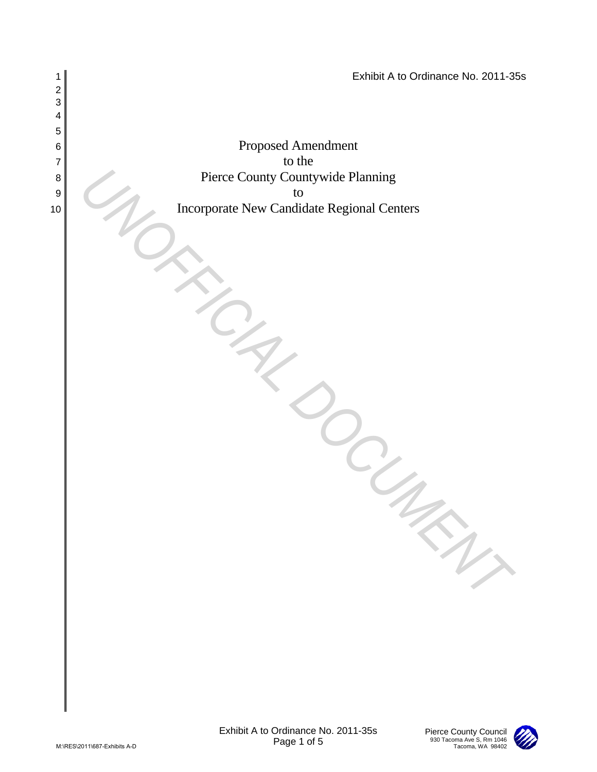

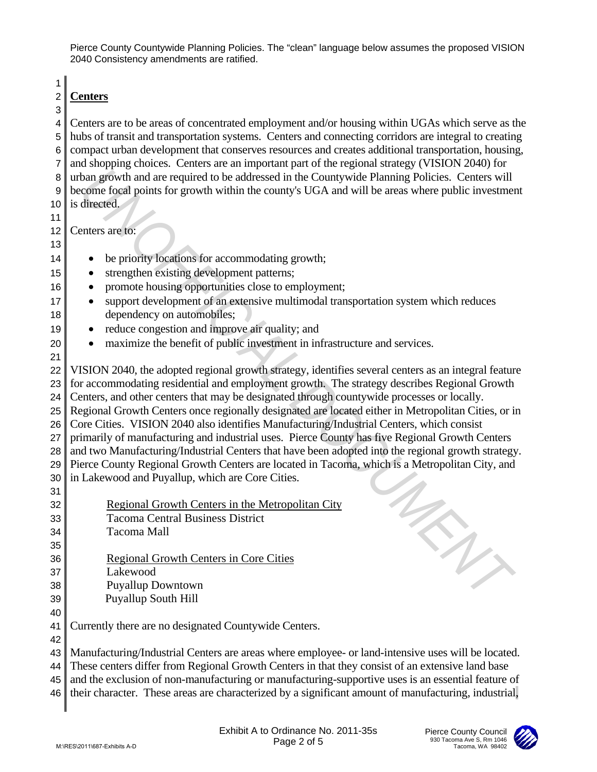1

## 2 **Centers** 3

4 Centers are to be areas of concentrated employment and/or housing within UGAs which serve as the 5 hubs of transit and transportation systems. Centers and connecting corridors are integral to creating 6 compact urban development that conserves resources and creates additional transportation, housing, 7 and shopping choices. Centers are an important part of the regional strategy (VISION 2040) for 8 urban growth and are required to be addressed in the Countywide Planning Policies. Centers will 9 become focal points for growth within the county's UGA and will be areas where public investment 10 is directed.

11

12 Centers are to: 13

- 14 be priority locations for accommodating growth;
- 15 strengthen existing development patterns;
- 16 promote housing opportunities close to employment;
- 17 support development of an extensive multimodal transportation system which reduces 18 dependency on automobiles;
- 19 reduce congestion and improve air quality; and
- 20 maximize the benefit of public investment in infrastructure and services.
- 21 22 VISION 2040, the adopted regional growth strategy, identifies several centers as an integral feature 23 for accommodating residential and employment growth. The strategy describes Regional Growth 24 Centers, and other centers that may be designated through countywide processes or locally. 25 Regional Growth Centers once regionally designated are located either in Metropolitan Cities, or in 26 Core Cities. VISION 2040 also identifies Manufacturing/Industrial Centers, which consist 27 primarily of manufacturing and industrial uses. Pierce County has five Regional Growth Centers 28 and two Manufacturing/Industrial Centers that have been adopted into the regional growth strategy. 29 Pierce County Regional Growth Centers are located in Tacoma, which is a Metropolitan City, and  $30$  in Lakewood and Puyallup, which are Core Cities. 31 R untern growth and are required to be addressed in the Comptysive Planning Policies. Centers with<br>
a) centers are too the comparison of the comparison of the comparison of the comparison of the diffused of a center state
- 32 Regional Growth Centers in the Metropolitan City 33 Tacoma Central Business District 34 Tacoma Mall 35
- 36 Regional Growth Centers in Core Cities
- 37 Lakewood

42

- 38 Puyallup Downtown
- 39 Puyallup South Hill 40
- 41 Currently there are no designated Countywide Centers.

43 Manufacturing/Industrial Centers are areas where employee- or land-intensive uses will be located. 44 These centers differ from Regional Growth Centers in that they consist of an extensive land base

45 and the exclusion of non-manufacturing or manufacturing-supportive uses is an essential feature of

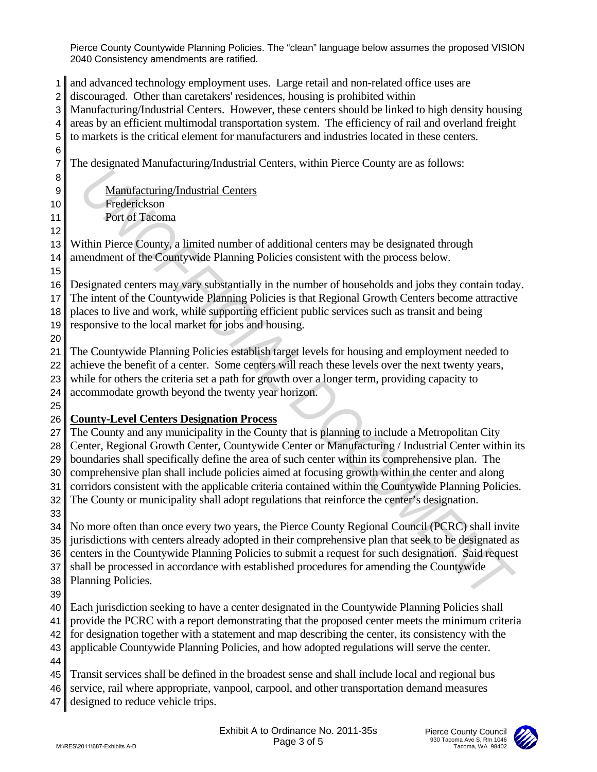and advanced technology employment uses. Large retail and non-related office uses are discouraged. Other than caretakers' residences, housing is prohibited within Manufacturing/Industrial Centers. However, these centers should be linked to high density housing areas by an efficient multimodal transportation system. The efficiency of rail and overland freight to markets is the critical element for manufacturers and industries located in these centers. The designated Manufacturing/Industrial Centers, within Pierce County are as follows: 9 Manufacturing/Industrial Centers Frederickson Port of Tacoma Within Pierce County, a limited number of additional centers may be designated through 14 amendment of the Countywide Planning Policies consistent with the process below. Designated centers may vary substantially in the number of households and jobs they contain today. The intent of the Countywide Planning Policies is that Regional Growth Centers become attractive places to live and work, while supporting efficient public services such as transit and being responsive to the local market for jobs and housing. The Countywide Planning Policies establish target levels for housing and employment needed to 22 achieve the benefit of a center. Some centers will reach these levels over the next twenty years, while for others the criteria set a path for growth over a longer term, providing capacity to accommodate growth beyond the twenty year horizon. **County-Level Centers Designation Process** The County and any municipality in the County that is planning to include a Metropolitan City 28 Center, Regional Growth Center, Countywide Center or Manufacturing / Industrial Center within its boundaries shall specifically define the area of such center within its comprehensive plan. The comprehensive plan shall include policies aimed at focusing growth within the center and along 31 corridors consistent with the applicable criteria contained within the Countywide Planning Policies. 32 The County or municipality shall adopt regulations that reinforce the center's designation. No more often than once every two years, the Pierce County Regional Council (PCRC) shall invite 35 jurisdictions with centers already adopted in their comprehensive plan that seek to be designated as 36 centers in the Countywide Planning Policies to submit a request for such designation. Said request 37 shall be processed in accordance with established procedures for amending the Countywide Planning Policies. Each jurisdiction seeking to have a center designated in the Countywide Planning Policies shall provide the PCRC with a report demonstrating that the proposed center meets the minimum criteria for designation together with a statement and map describing the center, its consistency with the applicable Countywide Planning Policies, and how adopted regulations will serve the center. Transit services shall be defined in the broadest sense and shall include local and regional bus 46 service, rail where appropriate, vanpool, carpool, and other transportation demand measures 47 designed to reduce vehicle trips. B<br>
Anathfacturine Industrial Centers<br>
Trusteric-Lyman Book and Similar and Similar and Similar and Similar and Similar and Similar and Similar Book and Similar and Similar Book and Similar and Similar and Similar and Simi

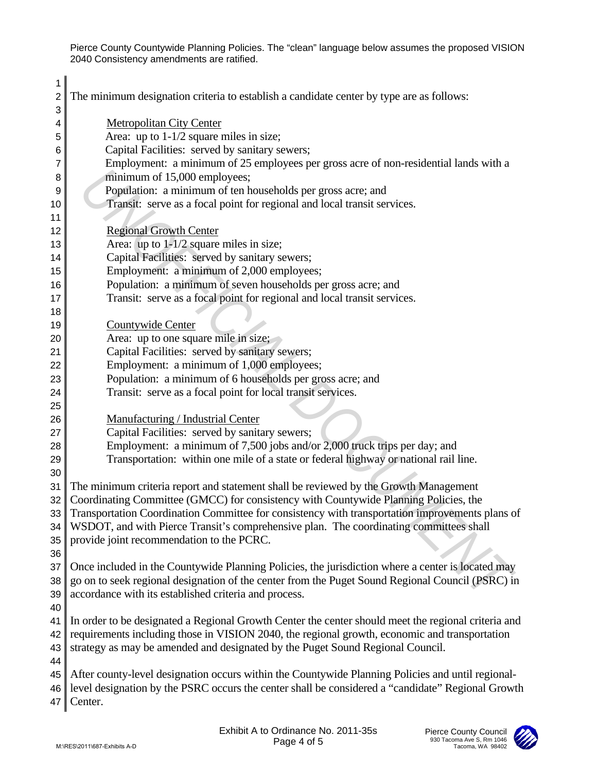| 1<br>2          | The minimum designation criteria to establish a candidate center by type are as follows:            |
|-----------------|-----------------------------------------------------------------------------------------------------|
| 3               |                                                                                                     |
| 4               | <b>Metropolitan City Center</b>                                                                     |
| 5               | Area: up to $1-1/2$ square miles in size;<br>Capital Facilities: served by sanitary sewers;         |
| 6<br>7          | Employment: a minimum of 25 employees per gross acre of non-residential lands with a                |
| 8               | minimum of 15,000 employees;                                                                        |
| 9               | Population: a minimum of ten households per gross acre; and                                         |
| 10              | Transit: serve as a focal point for regional and local transit services.                            |
| 11              |                                                                                                     |
| 12              | <b>Regional Growth Center</b>                                                                       |
| 13              | Area: up to $1-1/2$ square miles in size;                                                           |
| 14              | Capital Facilities: served by sanitary sewers;                                                      |
| 15              | Employment: a minimum of 2,000 employees;                                                           |
| 16              | Population: a minimum of seven households per gross acre; and                                       |
| 17              | Transit: serve as a focal point for regional and local transit services.                            |
| 18              |                                                                                                     |
| 19              | Countywide Center                                                                                   |
| 20              | Area: up to one square mile in size;                                                                |
| 21              | Capital Facilities: served by sanitary sewers;                                                      |
| 22              | Employment: a minimum of 1,000 employees;                                                           |
| 23              | Population: a minimum of 6 households per gross acre; and                                           |
| 24              | Transit: serve as a focal point for local transit services.                                         |
| 25              |                                                                                                     |
| 26              | Manufacturing / Industrial Center                                                                   |
| 27              | Capital Facilities: served by sanitary sewers;                                                      |
| 28              | Employment: a minimum of 7,500 jobs and/or 2,000 truck trips per day; and                           |
| 29              | Transportation: within one mile of a state or federal highway or national rail line.                |
| 30              |                                                                                                     |
| 31              | The minimum criteria report and statement shall be reviewed by the Growth Management                |
| 32 <sub>1</sub> | Coordinating Committee (GMCC) for consistency with Countywide Planning Policies, the                |
|                 | 33 Transportation Coordination Committee for consistency with transportation improvements plans of  |
| 34              | WSDOT, and with Pierce Transit's comprehensive plan. The coordinating committees shall              |
| 35              | provide joint recommendation to the PCRC.                                                           |
| 36<br>37        | Once included in the Countywide Planning Policies, the jurisdiction where a center is located may   |
| 38              | go on to seek regional designation of the center from the Puget Sound Regional Council (PSRC) in    |
| 39              | accordance with its established criteria and process.                                               |
| 40              |                                                                                                     |
| 41              | In order to be designated a Regional Growth Center the center should meet the regional criteria and |
| 42              | requirements including those in VISION 2040, the regional growth, economic and transportation       |
| 43              | strategy as may be amended and designated by the Puget Sound Regional Council.                      |
| 44              |                                                                                                     |
| 45              | After county-level designation occurs within the Countywide Planning Policies and until regional-   |
| 46              | level designation by the PSRC occurs the center shall be considered a "candidate" Regional Growth   |
| 47              | Center.                                                                                             |
|                 |                                                                                                     |
|                 | Exhibit A to Ordinance No. 2011-35s<br>Pierce County Council                                        |
|                 | 930 Tacoma Ave S, Rm 1046<br>Page 4 of 5<br>M:\RES\2011\687-Exhibits A-D<br>Tacoma, WA 98402        |

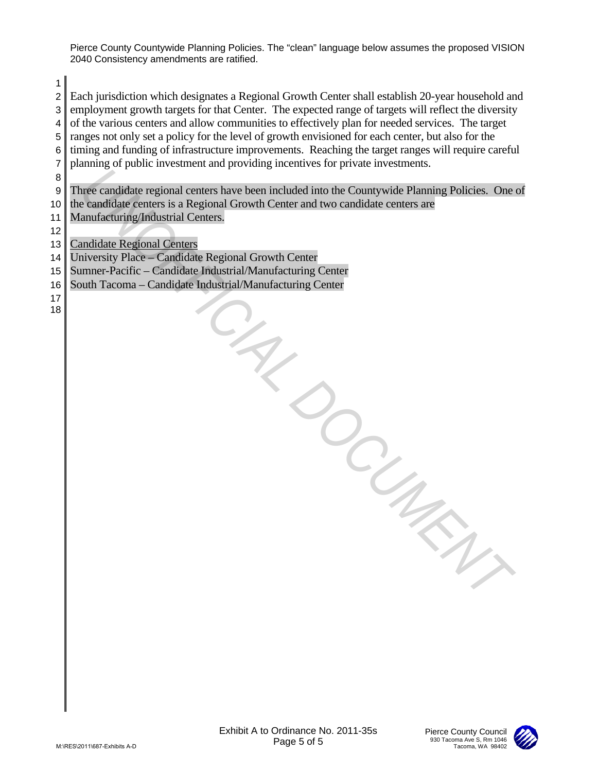2 Each jurisdiction which designates a Regional Growth Center shall establish 20-year household and 3 employment growth targets for that Center. The expected range of targets will reflect the diversity

1

 $4 \parallel$  of the various centers and allow communities to effectively plan for needed services. The target 5 ranges not only set a policy for the level of growth envisioned for each center, but also for the  $6$  timing and funding of infrastructure improvements. Reaching the target ranges will require careful 7 planning of public investment and providing incentives for private investments. 8 9 Three candidate regional centers have been included into the Countywide Planning Policies. One of 10 the candidate centers is a Regional Growth Center and two candidate centers are 11 | Manufacturing/Industrial Centers. 12 13 Candidate Regional Centers 14 University Place – Candidate Regional Growth Center 15 Sumner-Pacific – Candidate Industrial/Manufacturing Center 16 South Tacoma – Candidate Industrial/Manufacturing Center 17 18 5<br>
Max Para<br>
Microsoft Schultz A-Lo Ordinance No. 2011-356<br>
Microsoft Schultz<br>
Microsoft Schultz<br>
Microsoft Schultz<br>
Page 5 of 5

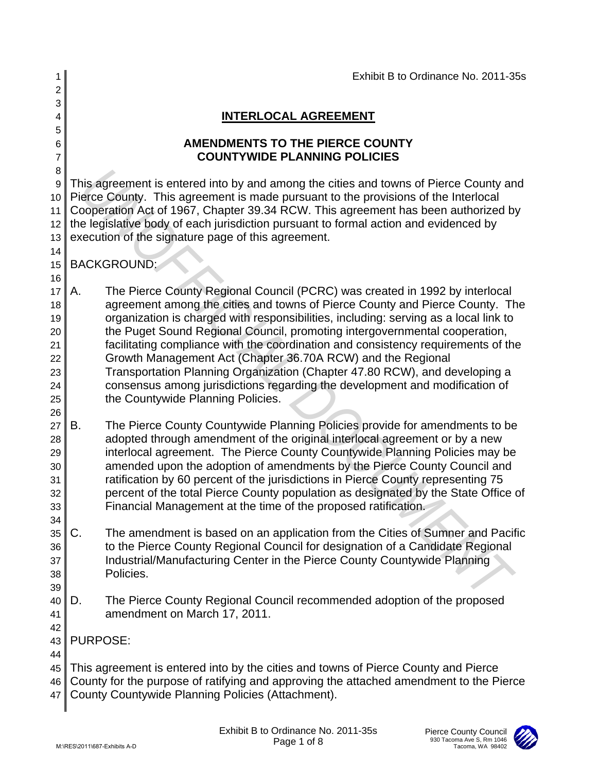| 1                                                              |    |                                                    |                                                                                                                                                                                                                                                                                                                                                                                                                                                                                                                                                                                                                                                    | Exhibit B to Ordinance No. 2011-35s                                    |
|----------------------------------------------------------------|----|----------------------------------------------------|----------------------------------------------------------------------------------------------------------------------------------------------------------------------------------------------------------------------------------------------------------------------------------------------------------------------------------------------------------------------------------------------------------------------------------------------------------------------------------------------------------------------------------------------------------------------------------------------------------------------------------------------------|------------------------------------------------------------------------|
| 2                                                              |    |                                                    |                                                                                                                                                                                                                                                                                                                                                                                                                                                                                                                                                                                                                                                    |                                                                        |
| 3<br>4                                                         |    |                                                    | <b>INTERLOCAL AGREEMENT</b>                                                                                                                                                                                                                                                                                                                                                                                                                                                                                                                                                                                                                        |                                                                        |
| 5                                                              |    |                                                    |                                                                                                                                                                                                                                                                                                                                                                                                                                                                                                                                                                                                                                                    |                                                                        |
| 6<br>7                                                         |    |                                                    | <b>AMENDMENTS TO THE PIERCE COUNTY</b><br><b>COUNTYWIDE PLANNING POLICIES</b>                                                                                                                                                                                                                                                                                                                                                                                                                                                                                                                                                                      |                                                                        |
| 8                                                              |    |                                                    |                                                                                                                                                                                                                                                                                                                                                                                                                                                                                                                                                                                                                                                    |                                                                        |
| 9<br>10<br>11<br>12<br>13                                      |    | execution of the signature page of this agreement. | This agreement is entered into by and among the cities and towns of Pierce County and<br>Pierce County. This agreement is made pursuant to the provisions of the Interlocal<br>Cooperation Act of 1967, Chapter 39.34 RCW. This agreement has been authorized by<br>the legislative body of each jurisdiction pursuant to formal action and evidenced by                                                                                                                                                                                                                                                                                           |                                                                        |
| 14<br>15                                                       |    | <b>BACKGROUND:</b>                                 |                                                                                                                                                                                                                                                                                                                                                                                                                                                                                                                                                                                                                                                    |                                                                        |
| 16<br>17<br>18<br>19<br>20<br>21<br>22<br>23<br>24<br>25<br>26 | Α. | the Countywide Planning Policies.                  | The Pierce County Regional Council (PCRC) was created in 1992 by interlocal<br>agreement among the cities and towns of Pierce County and Pierce County. The<br>organization is charged with responsibilities, including: serving as a local link to<br>the Puget Sound Regional Council, promoting intergovernmental cooperation,<br>facilitating compliance with the coordination and consistency requirements of the<br>Growth Management Act (Chapter 36.70A RCW) and the Regional<br>Transportation Planning Organization (Chapter 47.80 RCW), and developing a<br>consensus among jurisdictions regarding the development and modification of |                                                                        |
| 27<br>28<br>29<br>30<br>31<br>32<br>33<br>34                   | В. |                                                    | The Pierce County Countywide Planning Policies provide for amendments to be<br>adopted through amendment of the original interlocal agreement or by a new<br>interlocal agreement. The Pierce County Countywide Planning Policies may be<br>amended upon the adoption of amendments by the Pierce County Council and<br>ratification by 60 percent of the jurisdictions in Pierce County representing 75<br>percent of the total Pierce County population as designated by the State Office of<br>Financial Management at the time of the proposed ratification.                                                                                   |                                                                        |
| 35<br>36<br>37<br>38<br>39                                     | C. | Policies.                                          | The amendment is based on an application from the Cities of Sumner and Pacific<br>to the Pierce County Regional Council for designation of a Candidate Regional<br>Industrial/Manufacturing Center in the Pierce County Countywide Planning                                                                                                                                                                                                                                                                                                                                                                                                        |                                                                        |
| 40<br>41                                                       | D. | amendment on March 17, 2011.                       | The Pierce County Regional Council recommended adoption of the proposed                                                                                                                                                                                                                                                                                                                                                                                                                                                                                                                                                                            |                                                                        |
| 42<br>43<br>44                                                 |    | <b>PURPOSE:</b>                                    |                                                                                                                                                                                                                                                                                                                                                                                                                                                                                                                                                                                                                                                    |                                                                        |
| 45<br>46<br>47                                                 |    |                                                    | This agreement is entered into by the cities and towns of Pierce County and Pierce<br>County for the purpose of ratifying and approving the attached amendment to the Pierce<br>County Countywide Planning Policies (Attachment).                                                                                                                                                                                                                                                                                                                                                                                                                  |                                                                        |
|                                                                |    | M:\RES\2011\687-Exhibits A-D                       | Exhibit B to Ordinance No. 2011-35s<br>Page 1 of 8                                                                                                                                                                                                                                                                                                                                                                                                                                                                                                                                                                                                 | Pierce County Council<br>930 Tacoma Ave S, Rm 1046<br>Tacoma, WA 98402 |

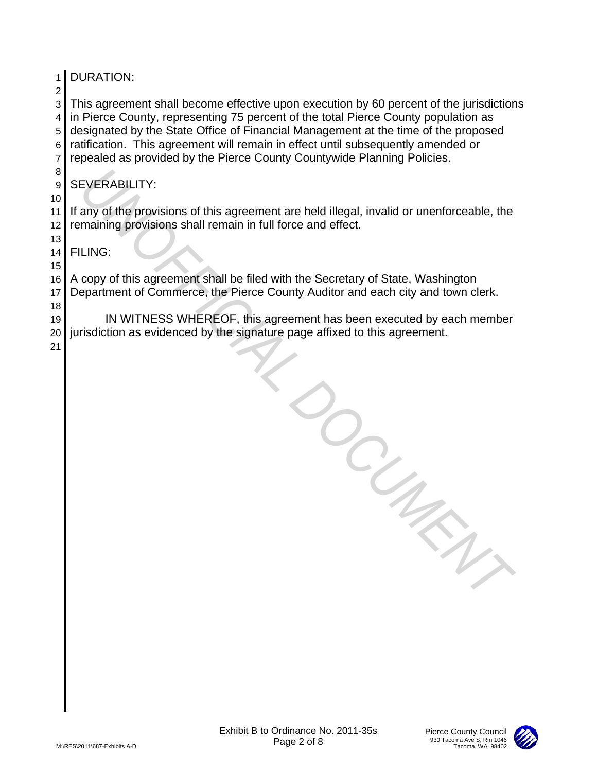| 1 <sup>1</sup><br>$\overline{c}$ | <b>DURATION:</b>                                                                                                                                                                                                                                                                                                                                                                                                                   |
|----------------------------------|------------------------------------------------------------------------------------------------------------------------------------------------------------------------------------------------------------------------------------------------------------------------------------------------------------------------------------------------------------------------------------------------------------------------------------|
| 3<br>4<br>5<br>6<br>7            | This agreement shall become effective upon execution by 60 percent of the jurisdictions<br>in Pierce County, representing 75 percent of the total Pierce County population as<br>designated by the State Office of Financial Management at the time of the proposed<br>ratification. This agreement will remain in effect until subsequently amended or<br>repealed as provided by the Pierce County Countywide Planning Policies. |
| 8<br>9                           | <b>SEVERABILITY:</b>                                                                                                                                                                                                                                                                                                                                                                                                               |
| 10<br>11<br>12                   | If any of the provisions of this agreement are held illegal, invalid or unenforceable, the<br>remaining provisions shall remain in full force and effect.                                                                                                                                                                                                                                                                          |
| 13<br>14                         | <b>FILING:</b>                                                                                                                                                                                                                                                                                                                                                                                                                     |
| 15<br>16<br>17                   | A copy of this agreement shall be filed with the Secretary of State, Washington<br>Department of Commerce, the Pierce County Auditor and each city and town clerk.                                                                                                                                                                                                                                                                 |
| 18<br>19<br>20<br>21             | IN WITNESS WHEREOF, this agreement has been executed by each member<br>jurisdiction as evidenced by the signature page affixed to this agreement.                                                                                                                                                                                                                                                                                  |
|                                  |                                                                                                                                                                                                                                                                                                                                                                                                                                    |
|                                  | Exhibit B to Ordinance No. 2011-35s<br><b>Pierce County Council</b><br>930 Tacoma Ave S, Rm 1046<br>Page 2 of 8<br>Tacoma, WA 98402<br>M:\RES\2011\687-Exhibits A-D                                                                                                                                                                                                                                                                |

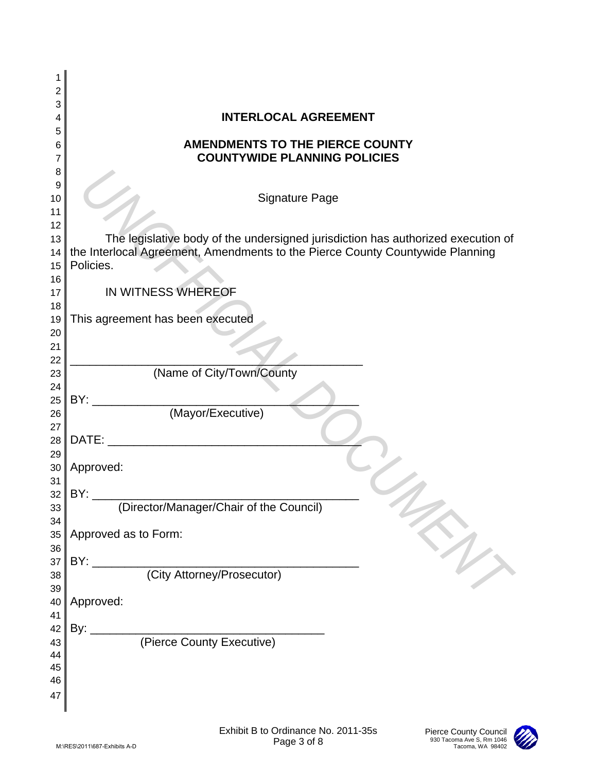| 1        |                                                                                           |
|----------|-------------------------------------------------------------------------------------------|
| 2        |                                                                                           |
| 3        |                                                                                           |
| 4        | <b>INTERLOCAL AGREEMENT</b>                                                               |
| 5<br>6   | <b>AMENDMENTS TO THE PIERCE COUNTY</b>                                                    |
| 7        | <b>COUNTYWIDE PLANNING POLICIES</b>                                                       |
| 8        |                                                                                           |
| 9        |                                                                                           |
| 10       | <b>Signature Page</b>                                                                     |
| 11       |                                                                                           |
| 12       |                                                                                           |
| 13       | The legislative body of the undersigned jurisdiction has authorized execution of          |
| 14       | the Interlocal Agreement, Amendments to the Pierce County Countywide Planning             |
| 15       | Policies.                                                                                 |
| 16       |                                                                                           |
| 17       | IN WITNESS WHEREOF                                                                        |
| 18       | This agreement has been executed                                                          |
| 19<br>20 |                                                                                           |
| 21       |                                                                                           |
| 22       |                                                                                           |
| 23       | (Name of City/Town/County                                                                 |
| 24       |                                                                                           |
| 25       | BY:                                                                                       |
| 26       | (Mayor/Executive)                                                                         |
| 27       |                                                                                           |
| 28       | DATE:                                                                                     |
| 29       |                                                                                           |
| 30       | Approved:                                                                                 |
| 31<br>32 | BY:                                                                                       |
| 33       | (Director/Manager/Chair of the Council)                                                   |
| 34       |                                                                                           |
| 35       | Approved as to Form:                                                                      |
| 36       |                                                                                           |
| 37       | in<br>BY:                                                                                 |
| 38       | (City Attorney/Prosecutor)                                                                |
| 39       |                                                                                           |
| 40       | Approved:                                                                                 |
| 41       |                                                                                           |
| 42       | By:                                                                                       |
| 43       | (Pierce County Executive)                                                                 |
| 44<br>45 |                                                                                           |
| 46       |                                                                                           |
| 47       |                                                                                           |
|          |                                                                                           |
|          |                                                                                           |
|          | Exhibit B to Ordinance No. 2011-35s<br>Pierce County Council<br>930 Tacoma Ave S, Rm 1046 |
|          | Page 3 of 8<br>M:\RES\2011\687-Exhibits A-D<br>Tacoma, WA 98402                           |

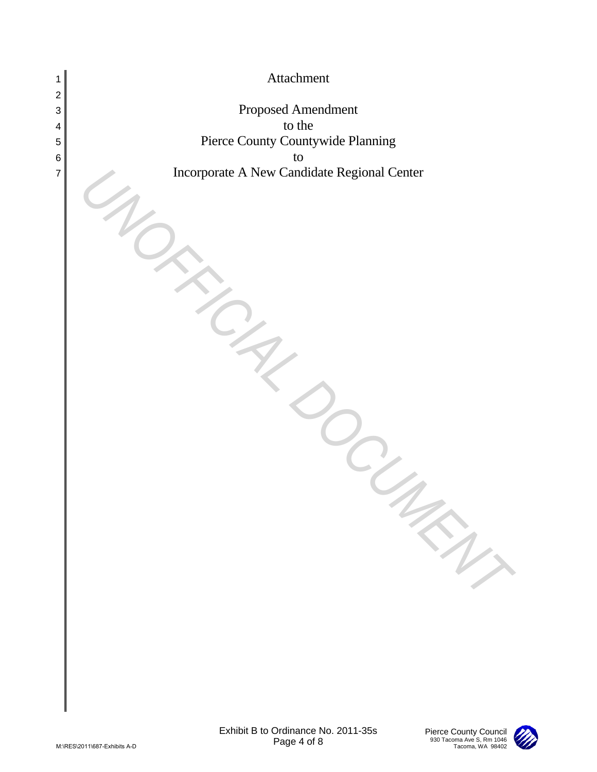

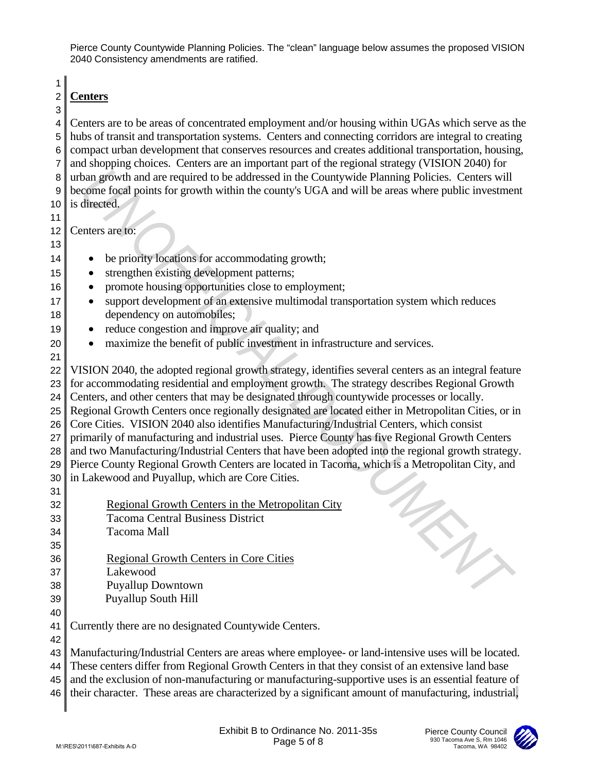1

## 2 **Centers** 3

4 Centers are to be areas of concentrated employment and/or housing within UGAs which serve as the 5 hubs of transit and transportation systems. Centers and connecting corridors are integral to creating 6 compact urban development that conserves resources and creates additional transportation, housing, 7 and shopping choices. Centers are an important part of the regional strategy (VISION 2040) for 8 urban growth and are required to be addressed in the Countywide Planning Policies. Centers will 9 become focal points for growth within the county's UGA and will be areas where public investment 10 is directed.

11

12 Centers are to: 13

- 14 be priority locations for accommodating growth;
- 15 strengthen existing development patterns;
- 16 promote housing opportunities close to employment;
- 17 support development of an extensive multimodal transportation system which reduces 18 dependency on automobiles;
- 19 reduce congestion and improve air quality; and
- 20 maximize the benefit of public investment in infrastructure and services.
- 21 22 VISION 2040, the adopted regional growth strategy, identifies several centers as an integral feature 23 for accommodating residential and employment growth. The strategy describes Regional Growth 24 Centers, and other centers that may be designated through countywide processes or locally. 25 Regional Growth Centers once regionally designated are located either in Metropolitan Cities, or in 26 Core Cities. VISION 2040 also identifies Manufacturing/Industrial Centers, which consist 27 primarily of manufacturing and industrial uses. Pierce County has five Regional Growth Centers 28 and two Manufacturing/Industrial Centers that have been adopted into the regional growth strategy. 29 Pierce County Regional Growth Centers are located in Tacoma, which is a Metropolitan City, and  $30$  in Lakewood and Puyallup, which are Core Cities. 31 R untern growth and recognized to be addressed in the Comptywide Planning Policies. Centers with<br>
a) become focal points for growth within the coamty's UGA and will be areas where public investment<br>
1) is dimensional point
- 32 Regional Growth Centers in the Metropolitan City 33 Tacoma Central Business District 34 Tacoma Mall
- 36 Regional Growth Centers in Core Cities
- 37 Lakewood

35

42

- 38 Puyallup Downtown
- 39 Puyallup South Hill 40
- 41 Currently there are no designated Countywide Centers.

43 Manufacturing/Industrial Centers are areas where employee- or land-intensive uses will be located. 44 These centers differ from Regional Growth Centers in that they consist of an extensive land base

45 and the exclusion of non-manufacturing or manufacturing-supportive uses is an essential feature of

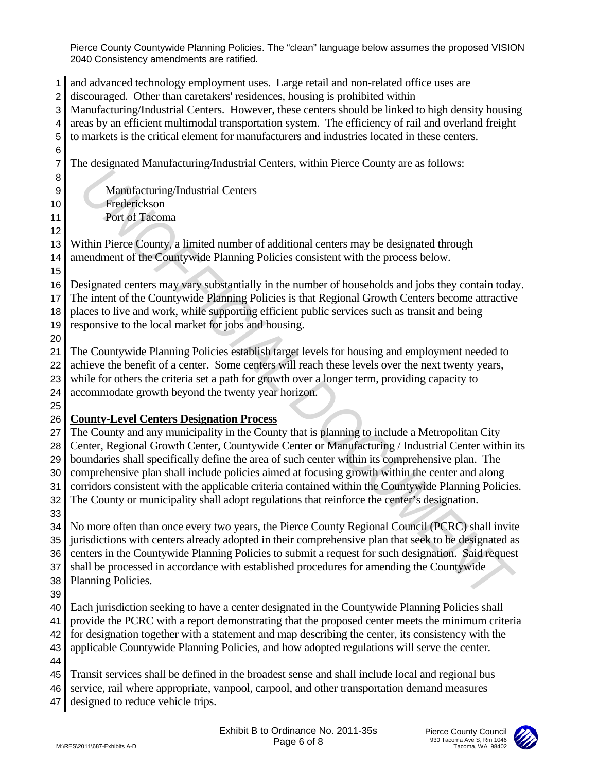and advanced technology employment uses. Large retail and non-related office uses are discouraged. Other than caretakers' residences, housing is prohibited within Manufacturing/Industrial Centers. However, these centers should be linked to high density housing areas by an efficient multimodal transportation system. The efficiency of rail and overland freight to markets is the critical element for manufacturers and industries located in these centers. The designated Manufacturing/Industrial Centers, within Pierce County are as follows: 9 Manufacturing/Industrial Centers Frederickson Port of Tacoma Within Pierce County, a limited number of additional centers may be designated through 14 amendment of the Countywide Planning Policies consistent with the process below. Designated centers may vary substantially in the number of households and jobs they contain today. The intent of the Countywide Planning Policies is that Regional Growth Centers become attractive places to live and work, while supporting efficient public services such as transit and being responsive to the local market for jobs and housing. The Countywide Planning Policies establish target levels for housing and employment needed to 22 achieve the benefit of a center. Some centers will reach these levels over the next twenty years, while for others the criteria set a path for growth over a longer term, providing capacity to accommodate growth beyond the twenty year horizon. **County-Level Centers Designation Process** The County and any municipality in the County that is planning to include a Metropolitan City 28 Center, Regional Growth Center, Countywide Center or Manufacturing / Industrial Center within its boundaries shall specifically define the area of such center within its comprehensive plan. The comprehensive plan shall include policies aimed at focusing growth within the center and along 31 corridors consistent with the applicable criteria contained within the Countywide Planning Policies. 32 The County or municipality shall adopt regulations that reinforce the center's designation. No more often than once every two years, the Pierce County Regional Council (PCRC) shall invite 35 jurisdictions with centers already adopted in their comprehensive plan that seek to be designated as 36 centers in the Countywide Planning Policies to submit a request for such designation. Said request 37 shall be processed in accordance with established procedures for amending the Countywide Planning Policies. Each jurisdiction seeking to have a center designated in the Countywide Planning Policies shall provide the PCRC with a report demonstrating that the proposed center meets the minimum criteria for designation together with a statement and map describing the center, its consistency with the applicable Countywide Planning Policies, and how adopted regulations will serve the center. Transit services shall be defined in the broadest sense and shall include local and regional bus 46 service, rail where appropriate, vanpool, carpool, and other transportation demand measures 47 designed to reduce vehicle trips. B<br>
Anathfacturine Industrial Centers<br>
Trusteric-Lyman Book and Similar and Similar and Similar and Similar and Similar and Similar and Similar and Similar and Similar and Similar and Similar and Similar and Similar and Si

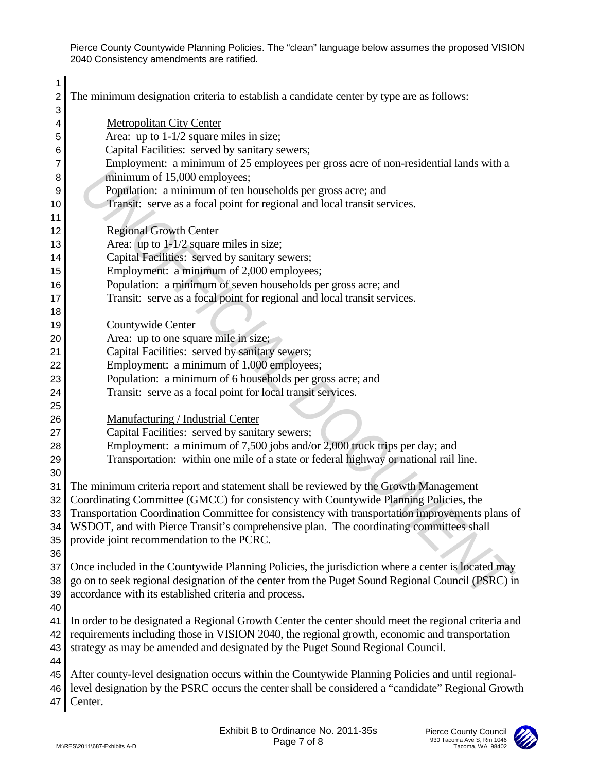| 1<br>2                | The minimum designation criteria to establish a candidate center by type are as follows:                                                                                     |
|-----------------------|------------------------------------------------------------------------------------------------------------------------------------------------------------------------------|
| 3                     |                                                                                                                                                                              |
| 4                     | <b>Metropolitan City Center</b>                                                                                                                                              |
| 5                     | Area: up to $1-1/2$ square miles in size;                                                                                                                                    |
| 6                     | Capital Facilities: served by sanitary sewers;                                                                                                                               |
| 7                     | Employment: a minimum of 25 employees per gross acre of non-residential lands with a<br>minimum of 15,000 employees;                                                         |
| 8<br>9                | Population: a minimum of ten households per gross acre; and                                                                                                                  |
| 10                    | Transit: serve as a focal point for regional and local transit services.                                                                                                     |
| 11                    |                                                                                                                                                                              |
| 12                    | <b>Regional Growth Center</b>                                                                                                                                                |
| 13                    | Area: up to $1-1/2$ square miles in size;                                                                                                                                    |
| 14                    | Capital Facilities: served by sanitary sewers;                                                                                                                               |
| 15                    | Employment: a minimum of 2,000 employees;                                                                                                                                    |
| 16                    | Population: a minimum of seven households per gross acre; and                                                                                                                |
| 17                    | Transit: serve as a focal point for regional and local transit services.                                                                                                     |
| 18                    |                                                                                                                                                                              |
| 19                    | Countywide Center                                                                                                                                                            |
| 20                    | Area: up to one square mile in size;                                                                                                                                         |
| 21                    | Capital Facilities: served by sanitary sewers;                                                                                                                               |
| 22                    | Employment: a minimum of 1,000 employees;                                                                                                                                    |
| 23                    | Population: a minimum of 6 households per gross acre; and                                                                                                                    |
| 24                    | Transit: serve as a focal point for local transit services.                                                                                                                  |
| 25                    |                                                                                                                                                                              |
| 26                    | Manufacturing / Industrial Center                                                                                                                                            |
| 27                    | Capital Facilities: served by sanitary sewers;                                                                                                                               |
| 28                    | Employment: a minimum of 7,500 jobs and/or 2,000 truck trips per day; and                                                                                                    |
| 29                    | Transportation: within one mile of a state or federal highway or national rail line.                                                                                         |
| 30                    |                                                                                                                                                                              |
| 31<br>32 <sub>1</sub> | The minimum criteria report and statement shall be reviewed by the Growth Management<br>Coordinating Committee (GMCC) for consistency with Countywide Planning Policies, the |
|                       | 33 Transportation Coordination Committee for consistency with transportation improvements plans of                                                                           |
| 34                    | WSDOT, and with Pierce Transit's comprehensive plan. The coordinating committees shall                                                                                       |
| 35                    | provide joint recommendation to the PCRC.                                                                                                                                    |
| 36                    |                                                                                                                                                                              |
| 37                    | Once included in the Countywide Planning Policies, the jurisdiction where a center is located may                                                                            |
| 38                    | go on to seek regional designation of the center from the Puget Sound Regional Council (PSRC) in                                                                             |
| 39                    | accordance with its established criteria and process.                                                                                                                        |
| 40                    |                                                                                                                                                                              |
| 41                    | In order to be designated a Regional Growth Center the center should meet the regional criteria and                                                                          |
| 42                    | requirements including those in VISION 2040, the regional growth, economic and transportation                                                                                |
| 43                    | strategy as may be amended and designated by the Puget Sound Regional Council.                                                                                               |
| 44                    |                                                                                                                                                                              |
| 45                    | After county-level designation occurs within the Countywide Planning Policies and until regional-                                                                            |
| 46                    | level designation by the PSRC occurs the center shall be considered a "candidate" Regional Growth                                                                            |
| 47                    | Center.                                                                                                                                                                      |
|                       |                                                                                                                                                                              |
|                       | Exhibit B to Ordinance No. 2011-35s<br>Pierce County Council<br>930 Tacoma Ave S, Rm 1046<br>Page 7 of 8<br>M:\RES\2011\687-Exhibits A-D<br>Tacoma, WA 98402                 |
|                       |                                                                                                                                                                              |

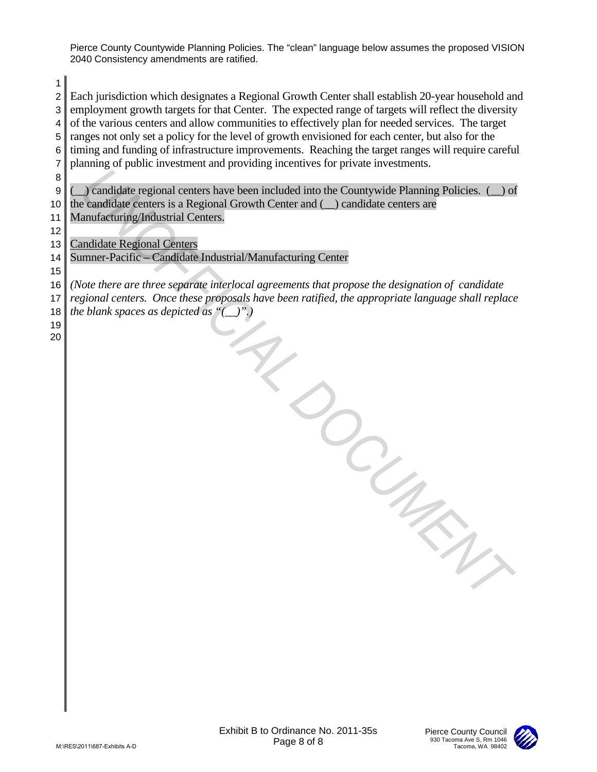2 Each jurisdiction which designates a Regional Growth Center shall establish 20-year household and 3 employment growth targets for that Center. The expected range of targets will reflect the diversity  $4 \parallel$  of the various centers and allow communities to effectively plan for needed services. The target

1

5 ranges not only set a policy for the level of growth envisioned for each center, but also for the 6 timing and funding of infrastructure improvements. Reaching the target ranges will require careful 7 planning of public investment and providing incentives for private investments. 8 9 Condidate regional centers have been included into the Countywide Planning Policies. (1) of 10 the candidate centers is a Regional Growth Center and  $(\_)$  candidate centers are 11 | Manufacturing/Industrial Centers. 12 13 Candidate Regional Centers 14 Sumner-Pacific – Candidate Industrial/Manufacturing Center 15 16 *(Note there are three separate interlocal agreements that propose the designation of candidate*  17 *regional centers. Once these proposals have been ratified, the appropriate language shall replace*  18 the blank spaces as depicted as " $($ ".)".) 19 20 The state of the blue.<br>
a state blue.<br>
a process of the blue.<br>
Exhibit B to Ordinance No. 2011-35s<br>
Page 8 of 8<br>
Page 8 of 8

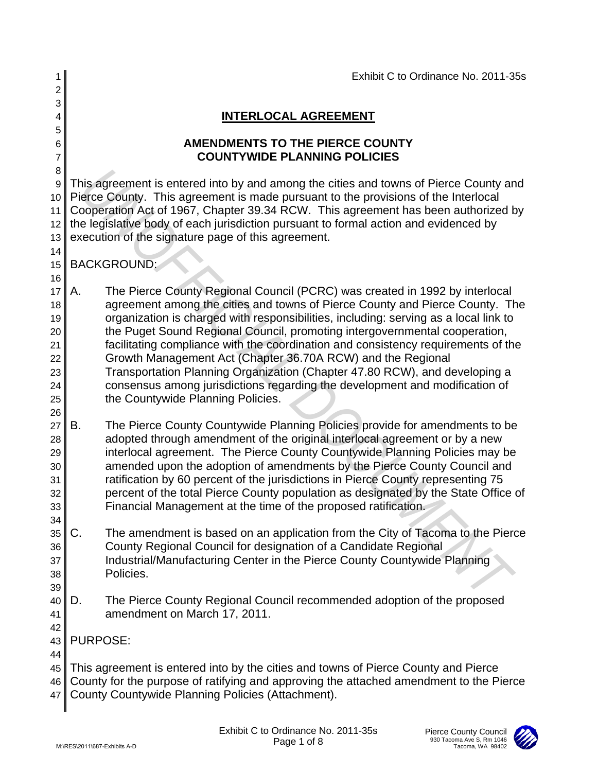| 1                                                        |                 |                                   |                                                                                                                                                                                                                                                                                                                                                                                       | Exhibit C to Ordinance No. 2011-35s                                                                                                                                                                                                                                                                                          |
|----------------------------------------------------------|-----------------|-----------------------------------|---------------------------------------------------------------------------------------------------------------------------------------------------------------------------------------------------------------------------------------------------------------------------------------------------------------------------------------------------------------------------------------|------------------------------------------------------------------------------------------------------------------------------------------------------------------------------------------------------------------------------------------------------------------------------------------------------------------------------|
| 2                                                        |                 |                                   |                                                                                                                                                                                                                                                                                                                                                                                       |                                                                                                                                                                                                                                                                                                                              |
| 3<br>4                                                   |                 |                                   | <b>INTERLOCAL AGREEMENT</b>                                                                                                                                                                                                                                                                                                                                                           |                                                                                                                                                                                                                                                                                                                              |
| 5                                                        |                 |                                   |                                                                                                                                                                                                                                                                                                                                                                                       |                                                                                                                                                                                                                                                                                                                              |
| 6<br>7                                                   |                 |                                   | <b>AMENDMENTS TO THE PIERCE COUNTY</b><br><b>COUNTYWIDE PLANNING POLICIES</b>                                                                                                                                                                                                                                                                                                         |                                                                                                                                                                                                                                                                                                                              |
| 8                                                        |                 |                                   |                                                                                                                                                                                                                                                                                                                                                                                       |                                                                                                                                                                                                                                                                                                                              |
| 9<br>10<br>11<br>12<br>13                                |                 |                                   | Pierce County. This agreement is made pursuant to the provisions of the Interlocal<br>the legislative body of each jurisdiction pursuant to formal action and evidenced by<br>execution of the signature page of this agreement.                                                                                                                                                      | This agreement is entered into by and among the cities and towns of Pierce County and<br>Cooperation Act of 1967, Chapter 39.34 RCW. This agreement has been authorized by                                                                                                                                                   |
| 14<br>15<br>16                                           |                 | <b>BACKGROUND:</b>                |                                                                                                                                                                                                                                                                                                                                                                                       |                                                                                                                                                                                                                                                                                                                              |
| 17<br>18<br>19<br>20<br>21<br>22<br>23<br>24<br>25<br>26 | Α.              | the Countywide Planning Policies. | The Pierce County Regional Council (PCRC) was created in 1992 by interlocal<br>the Puget Sound Regional Council, promoting intergovernmental cooperation,<br>Growth Management Act (Chapter 36.70A RCW) and the Regional<br>Transportation Planning Organization (Chapter 47.80 RCW), and developing a<br>consensus among jurisdictions regarding the development and modification of | agreement among the cities and towns of Pierce County and Pierce County. The<br>organization is charged with responsibilities, including: serving as a local link to<br>facilitating compliance with the coordination and consistency requirements of the                                                                    |
| 27<br>28<br>29<br>30<br>31<br>32<br>33<br>34             | В.              |                                   | adopted through amendment of the original interlocal agreement or by a new<br>ratification by 60 percent of the jurisdictions in Pierce County representing 75<br>Financial Management at the time of the proposed ratification.                                                                                                                                                      | The Pierce County Countywide Planning Policies provide for amendments to be<br>interlocal agreement. The Pierce County Countywide Planning Policies may be<br>amended upon the adoption of amendments by the Pierce County Council and<br>percent of the total Pierce County population as designated by the State Office of |
| 35<br>36<br>37<br>38<br>39                               | C.              | Policies.                         | County Regional Council for designation of a Candidate Regional<br>Industrial/Manufacturing Center in the Pierce County Countywide Planning                                                                                                                                                                                                                                           | The amendment is based on an application from the City of Tacoma to the Pierce                                                                                                                                                                                                                                               |
| 40<br>41<br>42                                           | D.              | amendment on March 17, 2011.      | The Pierce County Regional Council recommended adoption of the proposed                                                                                                                                                                                                                                                                                                               |                                                                                                                                                                                                                                                                                                                              |
| 43<br>44                                                 | <b>PURPOSE:</b> |                                   |                                                                                                                                                                                                                                                                                                                                                                                       |                                                                                                                                                                                                                                                                                                                              |
| 45<br>46<br>47                                           |                 |                                   | This agreement is entered into by the cities and towns of Pierce County and Pierce<br>County Countywide Planning Policies (Attachment).                                                                                                                                                                                                                                               | County for the purpose of ratifying and approving the attached amendment to the Pierce                                                                                                                                                                                                                                       |
|                                                          |                 | M:\RES\2011\687-Exhibits A-D      | Exhibit C to Ordinance No. 2011-35s<br>Page 1 of 8                                                                                                                                                                                                                                                                                                                                    | <b>Pierce County Council</b><br>930 Tacoma Ave S, Rm 1046<br>Tacoma, WA 98402                                                                                                                                                                                                                                                |

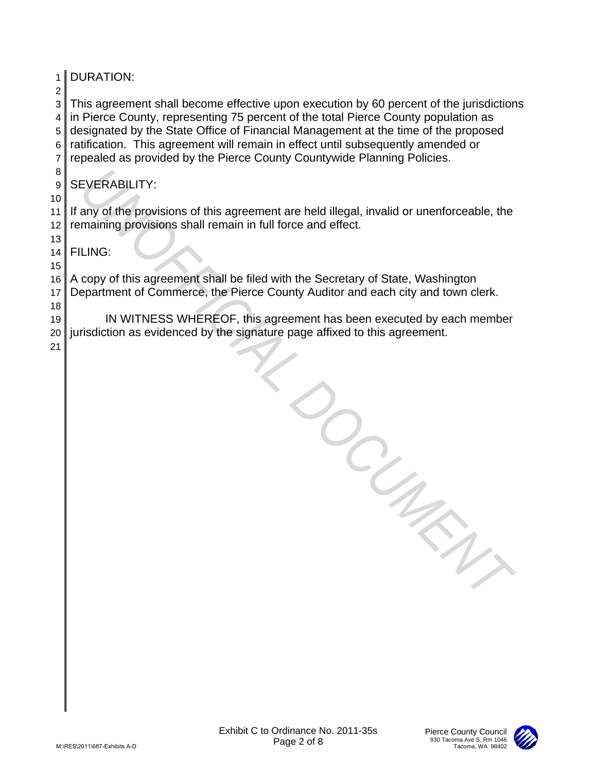| 1 <sup>1</sup><br>$\overline{c}$ | <b>DURATION:</b>                                                                                                                                                                                                                                                                                                                                                                                                                   |
|----------------------------------|------------------------------------------------------------------------------------------------------------------------------------------------------------------------------------------------------------------------------------------------------------------------------------------------------------------------------------------------------------------------------------------------------------------------------------|
| 3<br>4<br>5<br>6<br>7            | This agreement shall become effective upon execution by 60 percent of the jurisdictions<br>in Pierce County, representing 75 percent of the total Pierce County population as<br>designated by the State Office of Financial Management at the time of the proposed<br>ratification. This agreement will remain in effect until subsequently amended or<br>repealed as provided by the Pierce County Countywide Planning Policies. |
| 8<br>9                           | <b>SEVERABILITY:</b>                                                                                                                                                                                                                                                                                                                                                                                                               |
| 10<br>11<br>12                   | If any of the provisions of this agreement are held illegal, invalid or unenforceable, the<br>remaining provisions shall remain in full force and effect.                                                                                                                                                                                                                                                                          |
| 13<br>14                         | <b>FILING:</b>                                                                                                                                                                                                                                                                                                                                                                                                                     |
| 15<br>16<br>17                   | A copy of this agreement shall be filed with the Secretary of State, Washington<br>Department of Commerce, the Pierce County Auditor and each city and town clerk.                                                                                                                                                                                                                                                                 |
| 18<br>19<br>20<br>21             | IN WITNESS WHEREOF, this agreement has been executed by each member<br>jurisdiction as evidenced by the signature page affixed to this agreement.                                                                                                                                                                                                                                                                                  |
|                                  |                                                                                                                                                                                                                                                                                                                                                                                                                                    |
|                                  | Exhibit C to Ordinance No. 2011-35s<br><b>Pierce County Council</b><br>930 Tacoma Ave S, Rm 1046<br>Page 2 of 8<br>Tacoma, WA 98402<br>M:\RES\2011\687-Exhibits A-D                                                                                                                                                                                                                                                                |

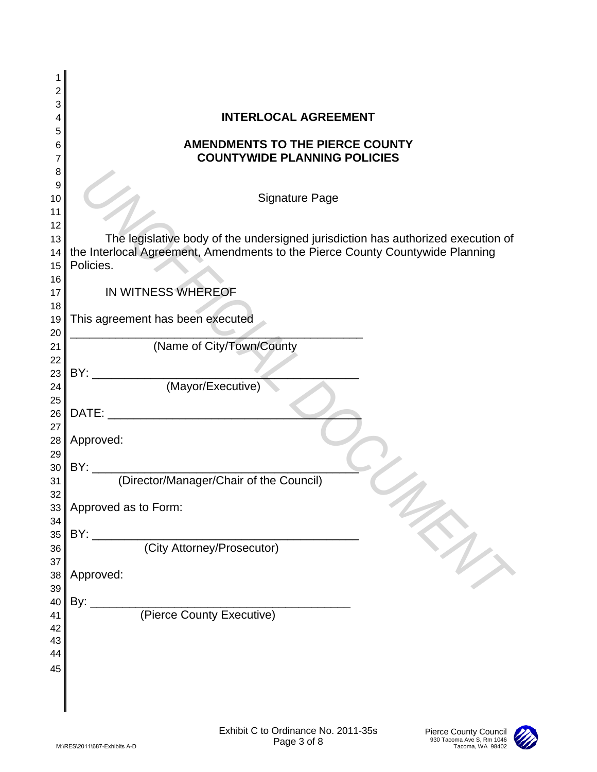| 2<br>3<br><b>INTERLOCAL AGREEMENT</b><br>4<br>5<br><b>AMENDMENTS TO THE PIERCE COUNTY</b><br>6<br><b>COUNTYWIDE PLANNING POLICIES</b><br>7<br>8<br>9<br><b>Signature Page</b><br>10<br>11<br>12<br>The legislative body of the undersigned jurisdiction has authorized execution of<br>13<br>the Interlocal Agreement, Amendments to the Pierce County Countywide Planning<br>14<br>Policies.<br>15<br>16<br>IN WITNESS WHEREOF<br>17<br>18<br>This agreement has been executed<br>19<br>20<br>(Name of City/Town/County<br>21<br>22<br>BY:<br>23<br>(Mayor/Executive)<br>24<br>25<br>DATE:<br>26<br>27<br>Approved:<br>28<br>29<br>30<br>31<br>32<br>Approved as to Form:<br>33 <sup>1</sup><br>34<br>BY:<br>35<br>(City Attorney/Prosecutor)<br>36<br>37<br>Approved:<br>38<br>39 | 1 |
|-------------------------------------------------------------------------------------------------------------------------------------------------------------------------------------------------------------------------------------------------------------------------------------------------------------------------------------------------------------------------------------------------------------------------------------------------------------------------------------------------------------------------------------------------------------------------------------------------------------------------------------------------------------------------------------------------------------------------------------------------------------------------------------|---|
|                                                                                                                                                                                                                                                                                                                                                                                                                                                                                                                                                                                                                                                                                                                                                                                     |   |
|                                                                                                                                                                                                                                                                                                                                                                                                                                                                                                                                                                                                                                                                                                                                                                                     |   |
|                                                                                                                                                                                                                                                                                                                                                                                                                                                                                                                                                                                                                                                                                                                                                                                     |   |
|                                                                                                                                                                                                                                                                                                                                                                                                                                                                                                                                                                                                                                                                                                                                                                                     |   |
|                                                                                                                                                                                                                                                                                                                                                                                                                                                                                                                                                                                                                                                                                                                                                                                     |   |
|                                                                                                                                                                                                                                                                                                                                                                                                                                                                                                                                                                                                                                                                                                                                                                                     |   |
|                                                                                                                                                                                                                                                                                                                                                                                                                                                                                                                                                                                                                                                                                                                                                                                     |   |
|                                                                                                                                                                                                                                                                                                                                                                                                                                                                                                                                                                                                                                                                                                                                                                                     |   |
|                                                                                                                                                                                                                                                                                                                                                                                                                                                                                                                                                                                                                                                                                                                                                                                     |   |
|                                                                                                                                                                                                                                                                                                                                                                                                                                                                                                                                                                                                                                                                                                                                                                                     |   |
|                                                                                                                                                                                                                                                                                                                                                                                                                                                                                                                                                                                                                                                                                                                                                                                     |   |
|                                                                                                                                                                                                                                                                                                                                                                                                                                                                                                                                                                                                                                                                                                                                                                                     |   |
|                                                                                                                                                                                                                                                                                                                                                                                                                                                                                                                                                                                                                                                                                                                                                                                     |   |
|                                                                                                                                                                                                                                                                                                                                                                                                                                                                                                                                                                                                                                                                                                                                                                                     |   |
|                                                                                                                                                                                                                                                                                                                                                                                                                                                                                                                                                                                                                                                                                                                                                                                     |   |
|                                                                                                                                                                                                                                                                                                                                                                                                                                                                                                                                                                                                                                                                                                                                                                                     |   |
|                                                                                                                                                                                                                                                                                                                                                                                                                                                                                                                                                                                                                                                                                                                                                                                     |   |
|                                                                                                                                                                                                                                                                                                                                                                                                                                                                                                                                                                                                                                                                                                                                                                                     |   |
|                                                                                                                                                                                                                                                                                                                                                                                                                                                                                                                                                                                                                                                                                                                                                                                     |   |
|                                                                                                                                                                                                                                                                                                                                                                                                                                                                                                                                                                                                                                                                                                                                                                                     |   |
|                                                                                                                                                                                                                                                                                                                                                                                                                                                                                                                                                                                                                                                                                                                                                                                     |   |
|                                                                                                                                                                                                                                                                                                                                                                                                                                                                                                                                                                                                                                                                                                                                                                                     |   |
|                                                                                                                                                                                                                                                                                                                                                                                                                                                                                                                                                                                                                                                                                                                                                                                     |   |
|                                                                                                                                                                                                                                                                                                                                                                                                                                                                                                                                                                                                                                                                                                                                                                                     |   |
|                                                                                                                                                                                                                                                                                                                                                                                                                                                                                                                                                                                                                                                                                                                                                                                     |   |
|                                                                                                                                                                                                                                                                                                                                                                                                                                                                                                                                                                                                                                                                                                                                                                                     |   |
|                                                                                                                                                                                                                                                                                                                                                                                                                                                                                                                                                                                                                                                                                                                                                                                     |   |
|                                                                                                                                                                                                                                                                                                                                                                                                                                                                                                                                                                                                                                                                                                                                                                                     |   |
| By:<br>40                                                                                                                                                                                                                                                                                                                                                                                                                                                                                                                                                                                                                                                                                                                                                                           |   |
| (Pierce County Executive)<br>41                                                                                                                                                                                                                                                                                                                                                                                                                                                                                                                                                                                                                                                                                                                                                     |   |
| 42                                                                                                                                                                                                                                                                                                                                                                                                                                                                                                                                                                                                                                                                                                                                                                                  |   |
| 43<br>44                                                                                                                                                                                                                                                                                                                                                                                                                                                                                                                                                                                                                                                                                                                                                                            |   |
| 45                                                                                                                                                                                                                                                                                                                                                                                                                                                                                                                                                                                                                                                                                                                                                                                  |   |
|                                                                                                                                                                                                                                                                                                                                                                                                                                                                                                                                                                                                                                                                                                                                                                                     |   |
|                                                                                                                                                                                                                                                                                                                                                                                                                                                                                                                                                                                                                                                                                                                                                                                     |   |
|                                                                                                                                                                                                                                                                                                                                                                                                                                                                                                                                                                                                                                                                                                                                                                                     |   |
| Exhibit C to Ordinance No. 2011-35s<br>Pierce County Council<br>930 Tacoma Ave S, Rm 1046<br>Page 3 of 8<br>M:\RES\2011\687-Exhibits A-D<br>Tacoma, WA 98402                                                                                                                                                                                                                                                                                                                                                                                                                                                                                                                                                                                                                        |   |

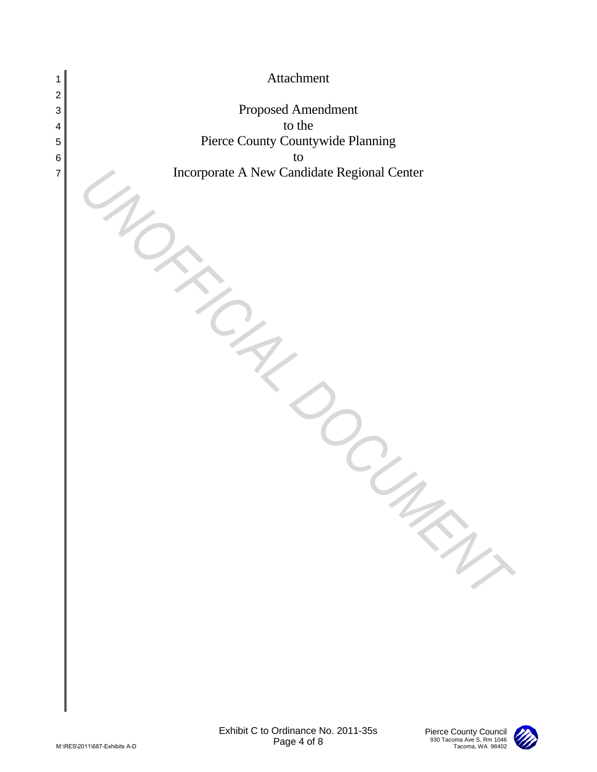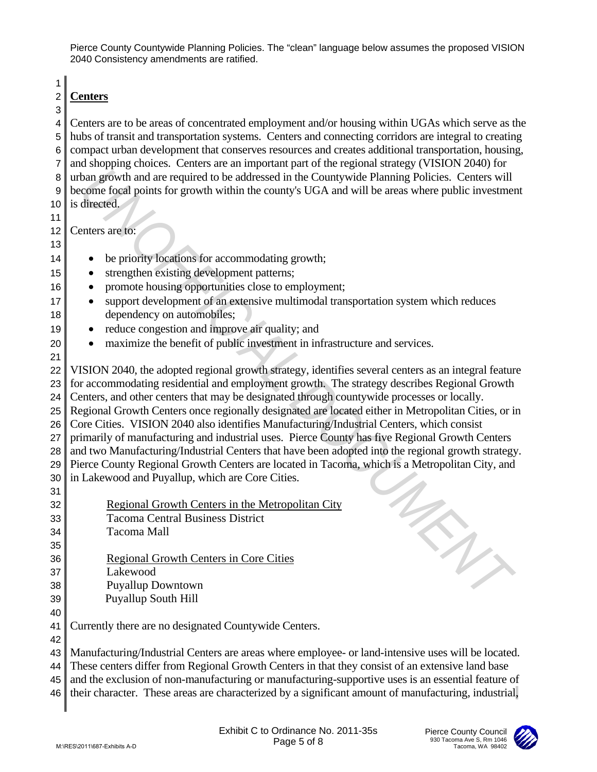1

## 2 **Centers** 3

4 Centers are to be areas of concentrated employment and/or housing within UGAs which serve as the 5 hubs of transit and transportation systems. Centers and connecting corridors are integral to creating 6 compact urban development that conserves resources and creates additional transportation, housing, 7 and shopping choices. Centers are an important part of the regional strategy (VISION 2040) for 8 urban growth and are required to be addressed in the Countywide Planning Policies. Centers will 9 become focal points for growth within the county's UGA and will be areas where public investment 10 is directed.

11

12 Centers are to: 13

- 14 be priority locations for accommodating growth;
- 15 strengthen existing development patterns;
- 16 promote housing opportunities close to employment;
- 17 support development of an extensive multimodal transportation system which reduces 18 dependency on automobiles;
- 19 reduce congestion and improve air quality; and
- 20 maximize the benefit of public investment in infrastructure and services.
- 21 22 VISION 2040, the adopted regional growth strategy, identifies several centers as an integral feature 23 for accommodating residential and employment growth. The strategy describes Regional Growth 24 Centers, and other centers that may be designated through countywide processes or locally. 25 Regional Growth Centers once regionally designated are located either in Metropolitan Cities, or in 26 Core Cities. VISION 2040 also identifies Manufacturing/Industrial Centers, which consist 27 primarily of manufacturing and industrial uses. Pierce County has five Regional Growth Centers 28 and two Manufacturing/Industrial Centers that have been adopted into the regional growth strategy. 29 Pierce County Regional Growth Centers are located in Tacoma, which is a Metropolitan City, and  $30$  in Lakewood and Puyallup, which are Core Cities. 31 R untern growth and are required to be addressed in the Comptysive Planning Policies. Centers with<br>
a) centers are too the comparison of the comparison of the comparison of the comparison of the diffused of a center state
- 32 Regional Growth Centers in the Metropolitan City 33 Tacoma Central Business District 34 Tacoma Mall 35
- 36 Regional Growth Centers in Core Cities
- 37 Lakewood

42

- 38 Puyallup Downtown
- 39 Puyallup South Hill 40
- 41 Currently there are no designated Countywide Centers.

43 Manufacturing/Industrial Centers are areas where employee- or land-intensive uses will be located. 44 These centers differ from Regional Growth Centers in that they consist of an extensive land base

45 and the exclusion of non-manufacturing or manufacturing-supportive uses is an essential feature of

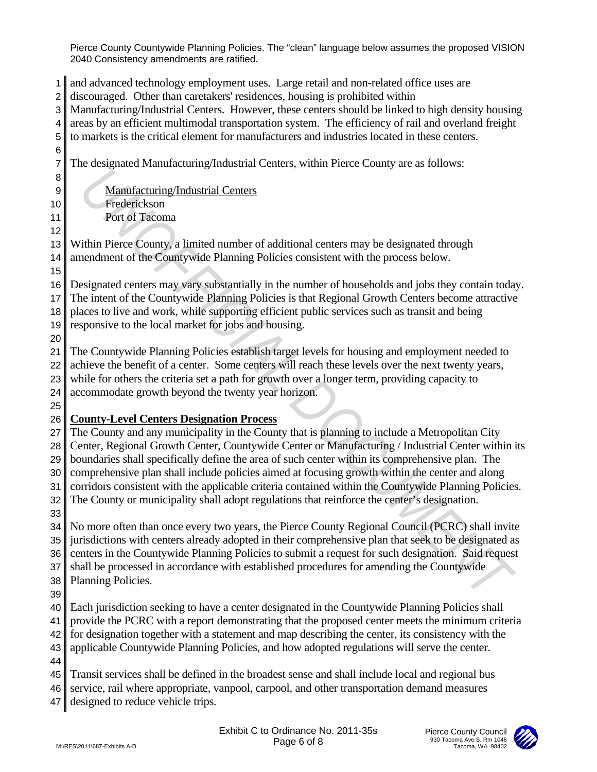and advanced technology employment uses. Large retail and non-related office uses are discouraged. Other than caretakers' residences, housing is prohibited within Manufacturing/Industrial Centers. However, these centers should be linked to high density housing areas by an efficient multimodal transportation system. The efficiency of rail and overland freight to markets is the critical element for manufacturers and industries located in these centers. The designated Manufacturing/Industrial Centers, within Pierce County are as follows: 9 Manufacturing/Industrial Centers Frederickson Port of Tacoma Within Pierce County, a limited number of additional centers may be designated through 14 amendment of the Countywide Planning Policies consistent with the process below. Designated centers may vary substantially in the number of households and jobs they contain today. The intent of the Countywide Planning Policies is that Regional Growth Centers become attractive places to live and work, while supporting efficient public services such as transit and being responsive to the local market for jobs and housing. The Countywide Planning Policies establish target levels for housing and employment needed to 22 achieve the benefit of a center. Some centers will reach these levels over the next twenty years, while for others the criteria set a path for growth over a longer term, providing capacity to accommodate growth beyond the twenty year horizon. **County-Level Centers Designation Process** The County and any municipality in the County that is planning to include a Metropolitan City 28 Center, Regional Growth Center, Countywide Center or Manufacturing / Industrial Center within its boundaries shall specifically define the area of such center within its comprehensive plan. The comprehensive plan shall include policies aimed at focusing growth within the center and along 31 corridors consistent with the applicable criteria contained within the Countywide Planning Policies. 32 The County or municipality shall adopt regulations that reinforce the center's designation. No more often than once every two years, the Pierce County Regional Council (PCRC) shall invite 35 jurisdictions with centers already adopted in their comprehensive plan that seek to be designated as 36 centers in the Countywide Planning Policies to submit a request for such designation. Said request 37 shall be processed in accordance with established procedures for amending the Countywide Planning Policies. Each jurisdiction seeking to have a center designated in the Countywide Planning Policies shall provide the PCRC with a report demonstrating that the proposed center meets the minimum criteria for designation together with a statement and map describing the center, its consistency with the applicable Countywide Planning Policies, and how adopted regulations will serve the center. Transit services shall be defined in the broadest sense and shall include local and regional bus 46 service, rail where appropriate, vanpool, carpool, and other transportation demand measures 47 designed to reduce vehicle trips. B<br>
Anathfacturine Industrial Centers<br>
Trusteric-Lyman Book and Similar and Similar and Similar and Similar and Similar and Similar and Similar and Similar and Similar and Similar and Similar and Similar and Similar and Si

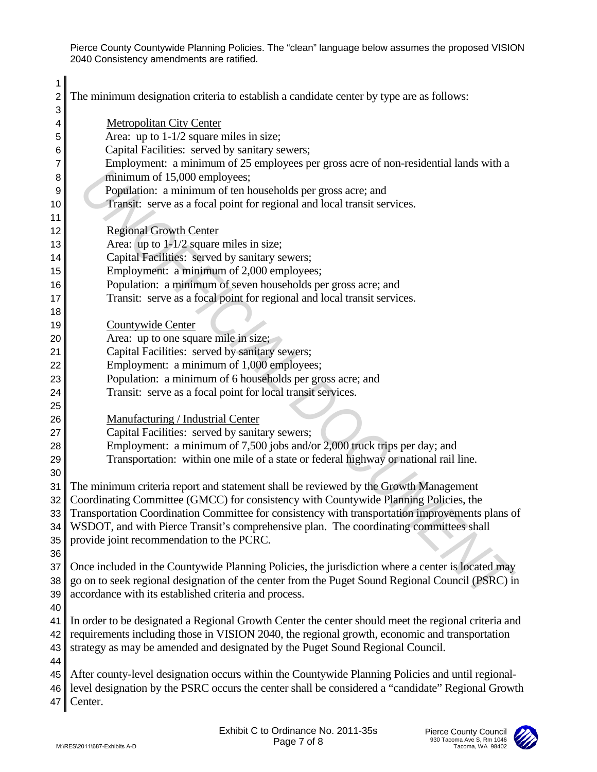| 1<br>2          | The minimum designation criteria to establish a candidate center by type are as follows:            |
|-----------------|-----------------------------------------------------------------------------------------------------|
| 3               | <b>Metropolitan City Center</b>                                                                     |
| 4               | Area: up to $1-1/2$ square miles in size;                                                           |
| 5               | Capital Facilities: served by sanitary sewers;                                                      |
| 6<br>7          | Employment: a minimum of 25 employees per gross acre of non-residential lands with a                |
|                 |                                                                                                     |
| 8               | minimum of 15,000 employees;<br>Population: a minimum of ten households per gross acre; and         |
| 9               |                                                                                                     |
| 10              | Transit: serve as a focal point for regional and local transit services.                            |
| 11<br>12        | <b>Regional Growth Center</b>                                                                       |
| 13              | Area: up to $1-1/2$ square miles in size;                                                           |
| 14              | Capital Facilities: served by sanitary sewers;                                                      |
| 15              | Employment: a minimum of 2,000 employees;                                                           |
| 16              | Population: a minimum of seven households per gross acre; and                                       |
| 17              | Transit: serve as a focal point for regional and local transit services.                            |
| 18              |                                                                                                     |
| 19              | Countywide Center                                                                                   |
| 20              | Area: up to one square mile in size;                                                                |
| 21              | Capital Facilities: served by sanitary sewers;                                                      |
| 22              | Employment: a minimum of 1,000 employees;                                                           |
| 23              | Population: a minimum of 6 households per gross acre; and                                           |
| 24              | Transit: serve as a focal point for local transit services.                                         |
| 25              |                                                                                                     |
| 26              | Manufacturing / Industrial Center                                                                   |
| 27              | Capital Facilities: served by sanitary sewers;                                                      |
| 28              | Employment: a minimum of 7,500 jobs and/or 2,000 truck trips per day; and                           |
| 29              | Transportation: within one mile of a state or federal highway or national rail line.                |
| 30              |                                                                                                     |
| 31              | The minimum criteria report and statement shall be reviewed by the Growth Management                |
| 32 <sub>1</sub> | Coordinating Committee (GMCC) for consistency with Countywide Planning Policies, the                |
|                 | 33 Transportation Coordination Committee for consistency with transportation improvements plans of  |
| 34              | WSDOT, and with Pierce Transit's comprehensive plan. The coordinating committees shall              |
| 35              | provide joint recommendation to the PCRC.                                                           |
| 36              |                                                                                                     |
| 37              | Once included in the Countywide Planning Policies, the jurisdiction where a center is located may   |
| 38              | go on to seek regional designation of the center from the Puget Sound Regional Council (PSRC) in    |
| 39              | accordance with its established criteria and process.                                               |
| 40              |                                                                                                     |
| 41              | In order to be designated a Regional Growth Center the center should meet the regional criteria and |
| 42              | requirements including those in VISION 2040, the regional growth, economic and transportation       |
| 43              | strategy as may be amended and designated by the Puget Sound Regional Council.                      |
| 44              |                                                                                                     |
| 45              | After county-level designation occurs within the Countywide Planning Policies and until regional-   |
| 46              | level designation by the PSRC occurs the center shall be considered a "candidate" Regional Growth   |
| 47              | Center.                                                                                             |
|                 |                                                                                                     |
|                 | Exhibit C to Ordinance No. 2011-35s<br>Pierce County Council                                        |
|                 | 930 Tacoma Ave S, Rm 1046<br>Page 7 of 8<br>M:\RES\2011\687-Exhibits A-D<br>Tacoma, WA 98402        |

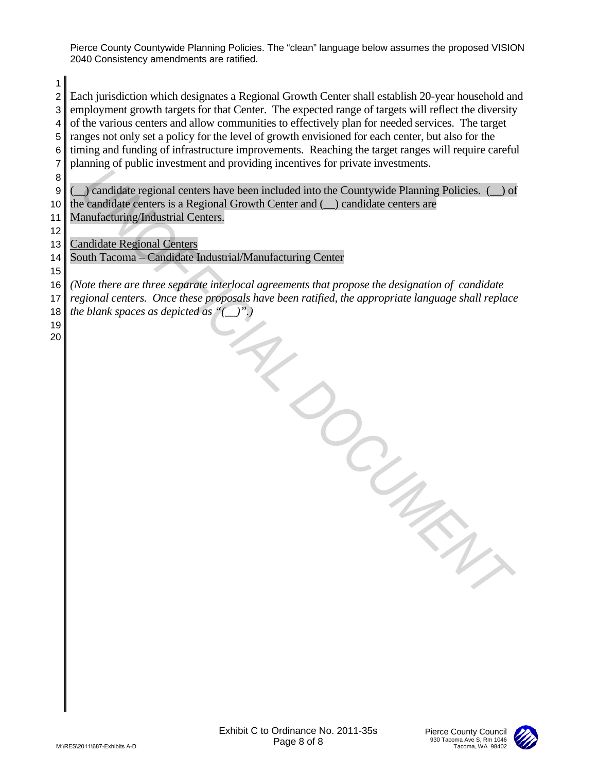2 Each jurisdiction which designates a Regional Growth Center shall establish 20-year household and 3 employment growth targets for that Center. The expected range of targets will reflect the diversity  $4 \parallel$  of the various centers and allow communities to effectively plan for needed services. The target

1

5 ranges not only set a policy for the level of growth envisioned for each center, but also for the 6 timing and funding of infrastructure improvements. Reaching the target ranges will require careful 7 planning of public investment and providing incentives for private investments. 8 9 Condidate regional centers have been included into the Countywide Planning Policies. (1) of 10 the candidate centers is a Regional Growth Center and  $(\_)$  candidate centers are 11 | Manufacturing/Industrial Centers. 12 13 Candidate Regional Centers 14 South Tacoma – Candidate Industrial/Manufacturing Center 15 16 *(Note there are three separate interlocal agreements that propose the designation of candidate*  17 *regional centers. Once these proposals have been ratified, the appropriate language shall replace*  18 the blank spaces as depicted as " $($ ".)".) 19 20 T<br>
a *Michian*.<br>
a *D*<br>
a *Universident*<br>
Exhibit C to Ordinance No. 2011-35s<br>
Exhibit C to Ordinance No. 2011-35s<br>
Page 8 of 8

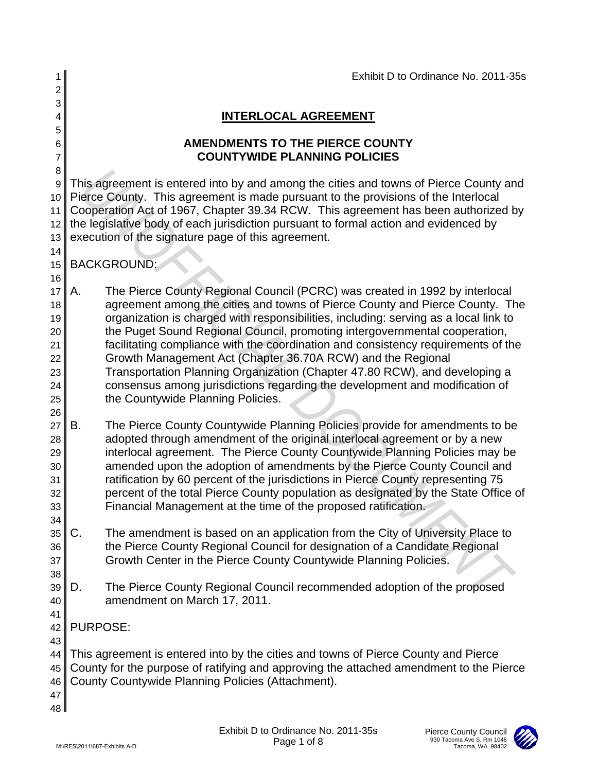| 1              |                 | Exhibit D to Ordinance No. 2011-35s                                                                                                                                  |
|----------------|-----------------|----------------------------------------------------------------------------------------------------------------------------------------------------------------------|
| $\overline{c}$ |                 |                                                                                                                                                                      |
| 3              |                 |                                                                                                                                                                      |
| 4              |                 | <b>INTERLOCAL AGREEMENT</b>                                                                                                                                          |
| 5              |                 |                                                                                                                                                                      |
| 6              |                 | <b>AMENDMENTS TO THE PIERCE COUNTY</b><br><b>COUNTYWIDE PLANNING POLICIES</b>                                                                                        |
| 7<br>8         |                 |                                                                                                                                                                      |
| 9              |                 | This agreement is entered into by and among the cities and towns of Pierce County and                                                                                |
| 10             |                 | Pierce County. This agreement is made pursuant to the provisions of the Interlocal                                                                                   |
| 11             |                 | Cooperation Act of 1967, Chapter 39.34 RCW. This agreement has been authorized by                                                                                    |
| 12             |                 | the legislative body of each jurisdiction pursuant to formal action and evidenced by                                                                                 |
| 13             |                 | execution of the signature page of this agreement.                                                                                                                   |
| 14             |                 |                                                                                                                                                                      |
| 15             |                 | <b>BACKGROUND:</b>                                                                                                                                                   |
| 16             |                 |                                                                                                                                                                      |
| 17             | Α.              | The Pierce County Regional Council (PCRC) was created in 1992 by interlocal                                                                                          |
| 18             |                 | agreement among the cities and towns of Pierce County and Pierce County. The<br>organization is charged with responsibilities, including: serving as a local link to |
| 19<br>20       |                 | the Puget Sound Regional Council, promoting intergovernmental cooperation,                                                                                           |
| 21             |                 | facilitating compliance with the coordination and consistency requirements of the                                                                                    |
| 22             |                 | Growth Management Act (Chapter 36.70A RCW) and the Regional                                                                                                          |
| 23             |                 | Transportation Planning Organization (Chapter 47.80 RCW), and developing a                                                                                           |
| 24             |                 | consensus among jurisdictions regarding the development and modification of                                                                                          |
| 25             |                 | the Countywide Planning Policies.                                                                                                                                    |
| 26             |                 |                                                                                                                                                                      |
| 27             | В.              | The Pierce County Countywide Planning Policies provide for amendments to be                                                                                          |
| 28             |                 | adopted through amendment of the original interlocal agreement or by a new                                                                                           |
| 29<br>30       |                 | interlocal agreement. The Pierce County Countywide Planning Policies may be<br>amended upon the adoption of amendments by the Pierce County Council and              |
| 31             |                 | ratification by 60 percent of the jurisdictions in Pierce County representing 75                                                                                     |
| 32             |                 | percent of the total Pierce County population as designated by the State Office of                                                                                   |
| 33             |                 | Financial Management at the time of the proposed ratification.                                                                                                       |
| 34             |                 |                                                                                                                                                                      |
| 35             | C.              | The amendment is based on an application from the City of University Place to                                                                                        |
| 36             |                 | the Pierce County Regional Council for designation of a Candidate Regional                                                                                           |
| 37             |                 | Growth Center in the Pierce County Countywide Planning Policies.                                                                                                     |
| 38             |                 |                                                                                                                                                                      |
| 39             | D.              | The Pierce County Regional Council recommended adoption of the proposed                                                                                              |
| 40             |                 | amendment on March 17, 2011.                                                                                                                                         |
| 41<br>42       | <b>PURPOSE:</b> |                                                                                                                                                                      |
| 43             |                 |                                                                                                                                                                      |
| 44             |                 | This agreement is entered into by the cities and towns of Pierce County and Pierce                                                                                   |
| 45             |                 | County for the purpose of ratifying and approving the attached amendment to the Pierce                                                                               |
| 46             |                 | County Countywide Planning Policies (Attachment).                                                                                                                    |
| 47             |                 |                                                                                                                                                                      |
| 48 l           |                 |                                                                                                                                                                      |
|                |                 | Exhibit D to Ordinance No. 2011-35s<br>Pierce County Council                                                                                                         |
|                |                 | 930 Tacoma Ave S, Rm 1046<br>Page 1 of 8<br>M:\RES\2011\687-Exhibits A-D<br>Tacoma, WA 98402                                                                         |

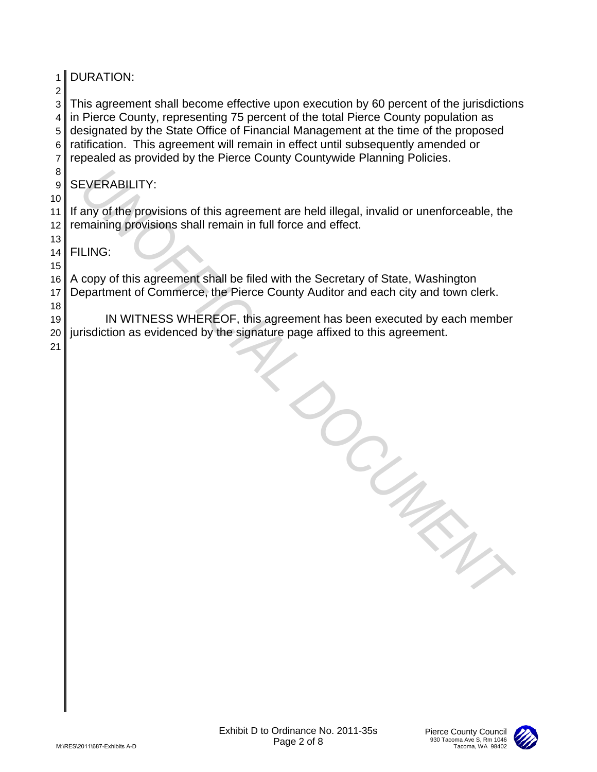| 1                                       | <b>DURATION:</b>                                                                                                                                                                                                                                                                                                                                                                                                                   |
|-----------------------------------------|------------------------------------------------------------------------------------------------------------------------------------------------------------------------------------------------------------------------------------------------------------------------------------------------------------------------------------------------------------------------------------------------------------------------------------|
| $\overline{c}$<br>3<br>4<br>5<br>6<br>7 | This agreement shall become effective upon execution by 60 percent of the jurisdictions<br>in Pierce County, representing 75 percent of the total Pierce County population as<br>designated by the State Office of Financial Management at the time of the proposed<br>ratification. This agreement will remain in effect until subsequently amended or<br>repealed as provided by the Pierce County Countywide Planning Policies. |
| 8<br>9                                  | <b>SEVERABILITY:</b>                                                                                                                                                                                                                                                                                                                                                                                                               |
| 10<br>11<br>12                          | If any of the provisions of this agreement are held illegal, invalid or unenforceable, the<br>remaining provisions shall remain in full force and effect.                                                                                                                                                                                                                                                                          |
| 13<br>14                                | <b>FILING:</b>                                                                                                                                                                                                                                                                                                                                                                                                                     |
| 15<br>16<br>17                          | A copy of this agreement shall be filed with the Secretary of State, Washington<br>Department of Commerce, the Pierce County Auditor and each city and town clerk.                                                                                                                                                                                                                                                                 |
| 18<br>19<br>20<br>21                    | IN WITNESS WHEREOF, this agreement has been executed by each member<br>jurisdiction as evidenced by the signature page affixed to this agreement.                                                                                                                                                                                                                                                                                  |
|                                         |                                                                                                                                                                                                                                                                                                                                                                                                                                    |
|                                         | Exhibit D to Ordinance No. 2011-35s<br>Pierce County Council<br>930 Tacoma Ave S, Rm 1046<br>Page 2 of 8<br>Tacoma, WA 98402<br>M:\RES\2011\687-Exhibits A-D                                                                                                                                                                                                                                                                       |

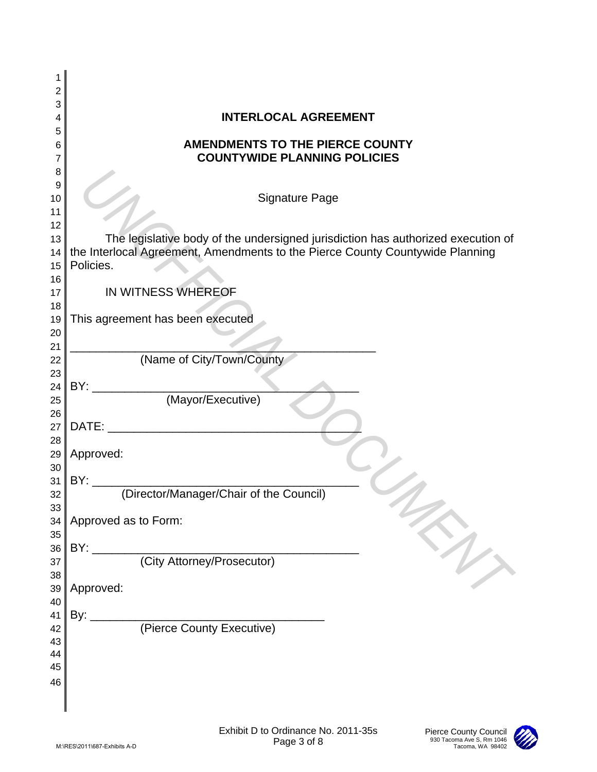| 1        |                                                                                           |
|----------|-------------------------------------------------------------------------------------------|
| 2<br>3   |                                                                                           |
| 4        | <b>INTERLOCAL AGREEMENT</b>                                                               |
| 5        |                                                                                           |
| 6<br>7   | <b>AMENDMENTS TO THE PIERCE COUNTY</b><br><b>COUNTYWIDE PLANNING POLICIES</b>             |
| 8        |                                                                                           |
| 9        |                                                                                           |
| 10       | <b>Signature Page</b>                                                                     |
| 11<br>12 |                                                                                           |
| 13       | The legislative body of the undersigned jurisdiction has authorized execution of          |
| 14       | the Interlocal Agreement, Amendments to the Pierce County Countywide Planning             |
| 15       | Policies.                                                                                 |
| 16       |                                                                                           |
| 17<br>18 | IN WITNESS WHEREOF                                                                        |
| 19       | This agreement has been executed                                                          |
| 20       |                                                                                           |
| 21       |                                                                                           |
| 22<br>23 | (Name of City/Town/County                                                                 |
| 24       |                                                                                           |
| 25       |                                                                                           |
| 26       |                                                                                           |
| 27       | DATE:                                                                                     |
| 28<br>29 | Approved:                                                                                 |
| 30       |                                                                                           |
| 31       | (Director/Manager/Chair of the Council)<br>BY:                                            |
| 32       |                                                                                           |
| 33<br>34 | Approved as to Form:                                                                      |
| 35       |                                                                                           |
| 36       | BY:                                                                                       |
| 37       | (City Attorney/Prosecutor)                                                                |
| 38       | EN 1                                                                                      |
| 39<br>40 | Approved:                                                                                 |
| 41       | By:                                                                                       |
| 42       | (Pierce County Executive)                                                                 |
| 43       |                                                                                           |
| 44<br>45 |                                                                                           |
| 46       |                                                                                           |
|          |                                                                                           |
|          |                                                                                           |
|          | Exhibit D to Ordinance No. 2011-35s<br>Pierce County Council<br>930 Tacoma Ave S, Rm 1046 |
|          | Page 3 of 8<br>M:\RES\2011\687-Exhibits A-D<br>Tacoma, WA 98402                           |

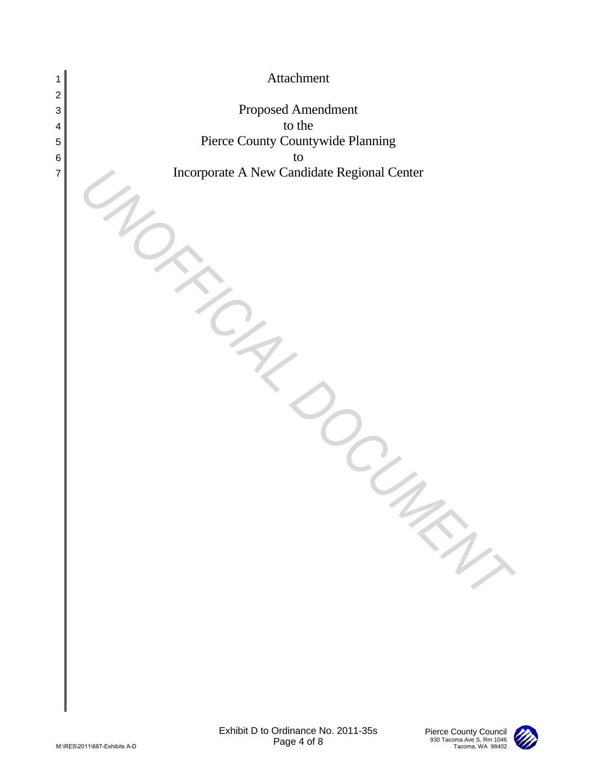

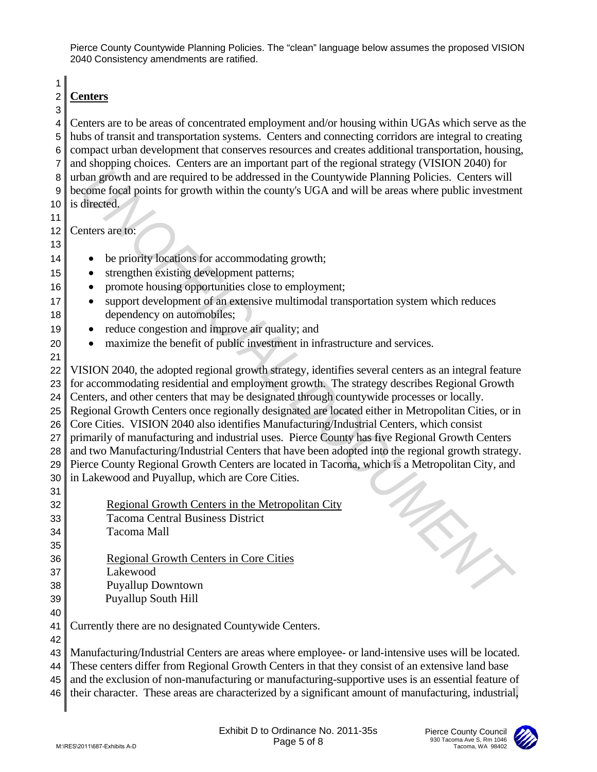1

## 2 **Centers** 3

4 Centers are to be areas of concentrated employment and/or housing within UGAs which serve as the 5 hubs of transit and transportation systems. Centers and connecting corridors are integral to creating 6 compact urban development that conserves resources and creates additional transportation, housing, 7 and shopping choices. Centers are an important part of the regional strategy (VISION 2040) for 8 urban growth and are required to be addressed in the Countywide Planning Policies. Centers will 9 become focal points for growth within the county's UGA and will be areas where public investment 10 is directed.

11

12 Centers are to: 13

- 14 be priority locations for accommodating growth;
- 15 strengthen existing development patterns;
- 16 promote housing opportunities close to employment;
- 17 support development of an extensive multimodal transportation system which reduces 18 dependency on automobiles;
- 19 reduce congestion and improve air quality; and
- 20 maximize the benefit of public investment in infrastructure and services.
- 21 22 VISION 2040, the adopted regional growth strategy, identifies several centers as an integral feature 23 for accommodating residential and employment growth. The strategy describes Regional Growth 24 Centers, and other centers that may be designated through countywide processes or locally. 25 Regional Growth Centers once regionally designated are located either in Metropolitan Cities, or in 26 Core Cities. VISION 2040 also identifies Manufacturing/Industrial Centers, which consist 27 primarily of manufacturing and industrial uses. Pierce County has five Regional Growth Centers 28 and two Manufacturing/Industrial Centers that have been adopted into the regional growth strategy. 29 Pierce County Regional Growth Centers are located in Tacoma, which is a Metropolitan City, and  $30$  in Lakewood and Puyallup, which are Core Cities. 31 R untern growth and are required to be addressed in the Comptysive Planning Policies. Centers with<br>
a) become focal points for growth within the county's UGA and will be areas where public investment<br>
1) is dimensional poi
- 32 Regional Growth Centers in the Metropolitan City 33 Tacoma Central Business District 34 Tacoma Mall 35
- 36 Regional Growth Centers in Core Cities
- 37 Lakewood

42

- 38 Puyallup Downtown
- 39 Puyallup South Hill 40
- 41 Currently there are no designated Countywide Centers.

43 Manufacturing/Industrial Centers are areas where employee- or land-intensive uses will be located. 44 These centers differ from Regional Growth Centers in that they consist of an extensive land base

45 and the exclusion of non-manufacturing or manufacturing-supportive uses is an essential feature of

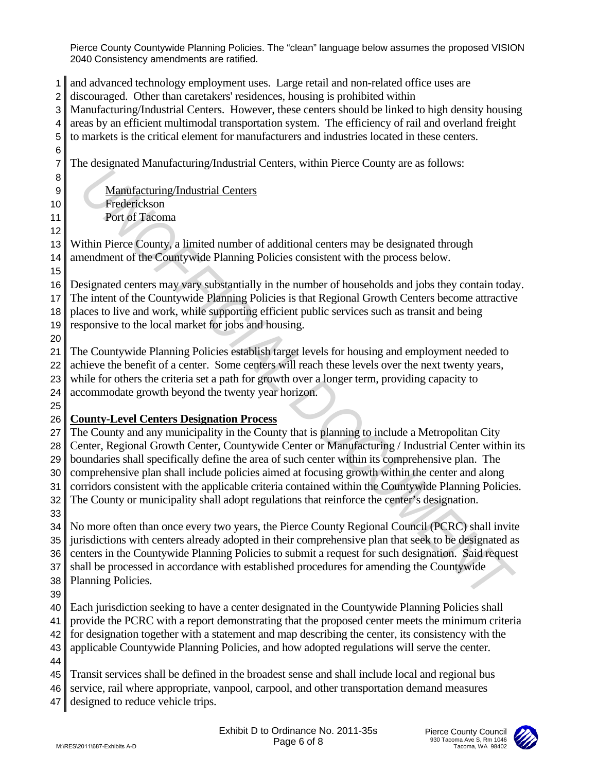and advanced technology employment uses. Large retail and non-related office uses are discouraged. Other than caretakers' residences, housing is prohibited within Manufacturing/Industrial Centers. However, these centers should be linked to high density housing areas by an efficient multimodal transportation system. The efficiency of rail and overland freight to markets is the critical element for manufacturers and industries located in these centers. The designated Manufacturing/Industrial Centers, within Pierce County are as follows: 9 Manufacturing/Industrial Centers Frederickson Port of Tacoma Within Pierce County, a limited number of additional centers may be designated through 14 amendment of the Countywide Planning Policies consistent with the process below. Designated centers may vary substantially in the number of households and jobs they contain today. The intent of the Countywide Planning Policies is that Regional Growth Centers become attractive places to live and work, while supporting efficient public services such as transit and being responsive to the local market for jobs and housing. The Countywide Planning Policies establish target levels for housing and employment needed to 22 achieve the benefit of a center. Some centers will reach these levels over the next twenty years, while for others the criteria set a path for growth over a longer term, providing capacity to accommodate growth beyond the twenty year horizon. **County-Level Centers Designation Process** The County and any municipality in the County that is planning to include a Metropolitan City 28 Center, Regional Growth Center, Countywide Center or Manufacturing / Industrial Center within its boundaries shall specifically define the area of such center within its comprehensive plan. The comprehensive plan shall include policies aimed at focusing growth within the center and along 31 corridors consistent with the applicable criteria contained within the Countywide Planning Policies. 32 The County or municipality shall adopt regulations that reinforce the center's designation. No more often than once every two years, the Pierce County Regional Council (PCRC) shall invite 35 jurisdictions with centers already adopted in their comprehensive plan that seek to be designated as 36 centers in the Countywide Planning Policies to submit a request for such designation. Said request 37 shall be processed in accordance with established procedures for amending the Countywide Planning Policies. Each jurisdiction seeking to have a center designated in the Countywide Planning Policies shall provide the PCRC with a report demonstrating that the proposed center meets the minimum criteria for designation together with a statement and map describing the center, its consistency with the applicable Countywide Planning Policies, and how adopted regulations will serve the center. Transit services shall be defined in the broadest sense and shall include local and regional bus 46 service, rail where appropriate, vanpool, carpool, and other transportation demand measures 47 designed to reduce vehicle trips. B<br>
Anathfacturine Industrial Centers<br>
Trusteric-Lyman Book and Similar and Similar and Similar and Similar and Similar and Similar and Similar and Similar and Similar and Similar and Similar and Similar and Similar and Si

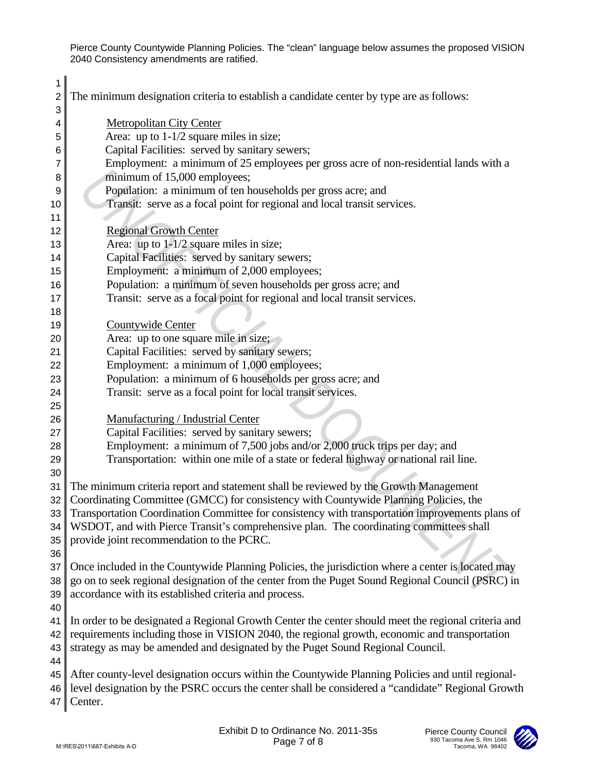| 1<br>2                | The minimum designation criteria to establish a candidate center by type are as follows:                                                                                     |  |
|-----------------------|------------------------------------------------------------------------------------------------------------------------------------------------------------------------------|--|
| 3                     |                                                                                                                                                                              |  |
| 4                     | <b>Metropolitan City Center</b><br>Area: up to $1-1/2$ square miles in size;                                                                                                 |  |
| 5                     | Capital Facilities: served by sanitary sewers;                                                                                                                               |  |
| 6<br>7                | Employment: a minimum of 25 employees per gross acre of non-residential lands with a                                                                                         |  |
| 8                     | minimum of 15,000 employees;                                                                                                                                                 |  |
| 9                     | Population: a minimum of ten households per gross acre; and                                                                                                                  |  |
| 10                    | Transit: serve as a focal point for regional and local transit services.                                                                                                     |  |
| 11                    |                                                                                                                                                                              |  |
| 12                    | <b>Regional Growth Center</b>                                                                                                                                                |  |
| 13                    | Area: up to $1-1/2$ square miles in size;                                                                                                                                    |  |
| 14                    | Capital Facilities: served by sanitary sewers;                                                                                                                               |  |
| 15                    | Employment: a minimum of 2,000 employees;                                                                                                                                    |  |
| 16                    | Population: a minimum of seven households per gross acre; and                                                                                                                |  |
| 17                    | Transit: serve as a focal point for regional and local transit services.                                                                                                     |  |
| 18                    |                                                                                                                                                                              |  |
| 19                    | Countywide Center                                                                                                                                                            |  |
| 20                    | Area: up to one square mile in size;                                                                                                                                         |  |
| 21                    | Capital Facilities: served by sanitary sewers;                                                                                                                               |  |
| 22                    | Employment: a minimum of 1,000 employees;                                                                                                                                    |  |
| 23                    | Population: a minimum of 6 households per gross acre; and                                                                                                                    |  |
| 24                    | Transit: serve as a focal point for local transit services.                                                                                                                  |  |
| 25                    |                                                                                                                                                                              |  |
| 26                    | Manufacturing / Industrial Center                                                                                                                                            |  |
| 27                    | Capital Facilities: served by sanitary sewers;                                                                                                                               |  |
| 28                    | Employment: a minimum of 7,500 jobs and/or 2,000 truck trips per day; and                                                                                                    |  |
| 29                    | Transportation: within one mile of a state or federal highway or national rail line.                                                                                         |  |
| 30                    |                                                                                                                                                                              |  |
| 31<br>32 <sub>1</sub> | The minimum criteria report and statement shall be reviewed by the Growth Management<br>Coordinating Committee (GMCC) for consistency with Countywide Planning Policies, the |  |
|                       | 33 Transportation Coordination Committee for consistency with transportation improvements plans of                                                                           |  |
| 34                    | WSDOT, and with Pierce Transit's comprehensive plan. The coordinating committees shall                                                                                       |  |
| 35                    | provide joint recommendation to the PCRC.                                                                                                                                    |  |
| 36                    |                                                                                                                                                                              |  |
| 37                    | Once included in the Countywide Planning Policies, the jurisdiction where a center is located may                                                                            |  |
| 38                    | go on to seek regional designation of the center from the Puget Sound Regional Council (PSRC) in                                                                             |  |
| 39                    | accordance with its established criteria and process.                                                                                                                        |  |
| 40                    |                                                                                                                                                                              |  |
| 41                    | In order to be designated a Regional Growth Center the center should meet the regional criteria and                                                                          |  |
| 42                    | requirements including those in VISION 2040, the regional growth, economic and transportation                                                                                |  |
| 43                    | strategy as may be amended and designated by the Puget Sound Regional Council.                                                                                               |  |
| 44                    |                                                                                                                                                                              |  |
| 45                    | After county-level designation occurs within the Countywide Planning Policies and until regional-                                                                            |  |
| 46                    | level designation by the PSRC occurs the center shall be considered a "candidate" Regional Growth                                                                            |  |
| 47                    | Center.                                                                                                                                                                      |  |
|                       |                                                                                                                                                                              |  |
|                       | Exhibit D to Ordinance No. 2011-35s<br>Pierce County Council<br>930 Tacoma Ave S, Rm 1046                                                                                    |  |
|                       | Page 7 of 8<br>M:\RES\2011\687-Exhibits A-D<br>Tacoma, WA 98402                                                                                                              |  |